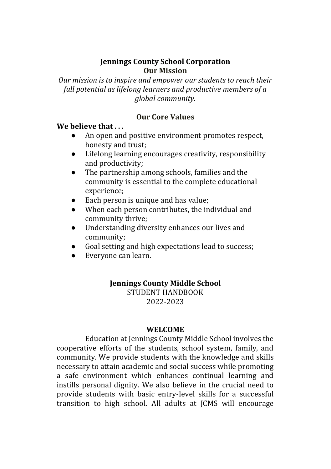### **Jennings County School Corporation Our Mission**

*Our mission is to inspire and empower our students to reach their full potential as lifelong learners and productive members of a global community.*

### **Our Core Values**

# **We believe that . . .**

- An open and positive environment promotes respect, honesty and trust;
- Lifelong learning encourages creativity, responsibility and productivity;
- The partnership among schools, families and the community is essential to the complete educational experience;
- Each person is unique and has value;
- When each person contributes, the individual and community thrive;
- Understanding diversity enhances our lives and community;
- Goal setting and high expectations lead to success;
- Everyone can learn.

#### **Jennings County Middle School** STUDENT HANDBOOK

2022-2023

#### **WELCOME**

Education at Jennings County Middle School involves the cooperative efforts of the students, school system, family, and community. We provide students with the knowledge and skills necessary to attain academic and social success while promoting a safe environment which enhances continual learning and instills personal dignity. We also believe in the crucial need to provide students with basic entry-level skills for a successful transition to high school. All adults at JCMS will encourage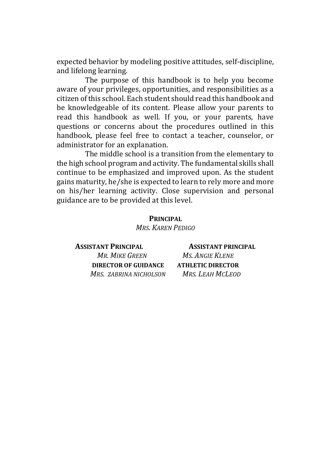expected behavior by modeling positive attitudes, self-discipline, and lifelong learning.

The purpose of this handbook is to help you become aware of your privileges, opportunities, and responsibilities as a citizen of this school. Each student should read this handbook and be knowledgeable of its content. Please allow your parents to read this handbook as well. If you, or your parents, have questions or concerns about the procedures outlined in this handbook, please feel free to contact a teacher, counselor, or administrator for an explanation.

The middle school is a transition from the elementary to the high school program and activity. The fundamental skills shall continue to be emphasized and improved upon. As the student gains maturity, he/she is expected to learn to rely more and more on his/her learning activity. Close supervision and personal guidance are to be provided at this level.

> **PRINCIPAL** *MRS. KAREN PEDIGO*

**ASSISTANT PRINCIPAL ASSISTANT PRINCIPAL** *MR. MIKE GREEN MS. ANGIE KLENE* **DIRECTOR OF GUIDANCE ATHLETIC DIRECTOR** *MRS. ZABRINA NICHOLSON MRS. LEAH MCLEOD*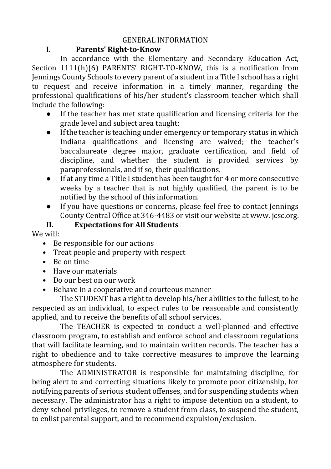### GENERAL INFORMATION

### **I. Parents' Right-to-Know**

In accordance with the Elementary and Secondary Education Act, Section 1111(h)(6) PARENTS' RIGHT-TO-KNOW, this is a notification from Jennings County Schools to every parent of a student in a Title I school has a right to request and receive information in a timely manner, regarding the professional qualifications of his/her student's classroom teacher which shall include the following:

- If the teacher has met state qualification and licensing criteria for the grade level and subject area taught;
- If the teacher is teaching under emergency or temporary status in which Indiana qualifications and licensing are waived; the teacher's baccalaureate degree major, graduate certification, and field of discipline, and whether the student is provided services by paraprofessionals, and if so, their qualifications.
- If at any time a Title I student has been taught for 4 or more consecutive weeks by a teacher that is not highly qualified, the parent is to be notified by the school of this information.
- If you have questions or concerns, please feel free to contact Jennings County Central Office at 346-4483 or visit our website at www. jcsc.org.

# **II. Expectations for All Students**

We will:

- Be responsible for our actions
- Treat people and property with respect
- Be on time
- Have our materials
- Do our best on our work
- Behave in a cooperative and courteous manner

The STUDENT has a right to develop his/her abilities to the fullest, to be respected as an individual, to expect rules to be reasonable and consistently applied, and to receive the benefits of all school services.

The TEACHER is expected to conduct a well-planned and effective classroom program, to establish and enforce school and classroom regulations that will facilitate learning, and to maintain written records. The teacher has a right to obedience and to take corrective measures to improve the learning atmosphere for students.

The ADMINISTRATOR is responsible for maintaining discipline, for being alert to and correcting situations likely to promote poor citizenship, for notifying parents of serious student offenses, and for suspending students when necessary. The administrator has a right to impose detention on a student, to deny school privileges, to remove a student from class, to suspend the student, to enlist parental support, and to recommend expulsion/exclusion.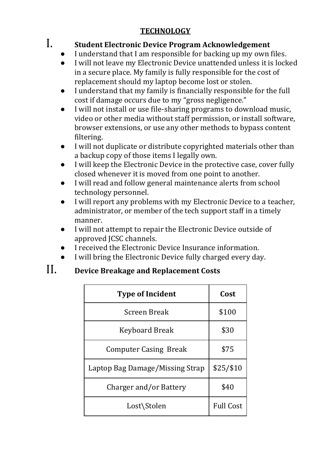# **TECHNOLOGY**

# I. **Student Electronic Device Program Acknowledgement**

- I understand that I am responsible for backing up my own files.
- I will not leave my Electronic Device unattended unless it is locked in a secure place. My family is fully responsible for the cost of replacement should my laptop become lost or stolen.
- I understand that my family is financially responsible for the full cost if damage occurs due to my "gross negligence."
- $\bullet$  I will not install or use file-sharing programs to download music. video or other media without staff permission, or install software, browser extensions, or use any other methods to bypass content filtering.
- I will not duplicate or distribute copyrighted materials other than a backup copy of those items I legally own.
- I will keep the Electronic Device in the protective case, cover fully closed whenever it is moved from one point to another.
- I will read and follow general maintenance alerts from school technology personnel.
- I will report any problems with my Electronic Device to a teacher, administrator, or member of the tech support staff in a timely manner.
- I will not attempt to repair the Electronic Device outside of approved JCSC channels.
- I received the Electronic Device Insurance information.
- I will bring the Electronic Device fully charged every day.

# II. **Device Breakage and Replacement Costs**

| <b>Type of Incident</b>         | Cost             |
|---------------------------------|------------------|
| Screen Break                    | \$100            |
| Keyboard Break                  | \$30             |
| <b>Computer Casing Break</b>    | \$75             |
| Laptop Bag Damage/Missing Strap | \$25/ \$10       |
| Charger and/or Battery          | \$40             |
| Lost\Stolen                     | <b>Full Cost</b> |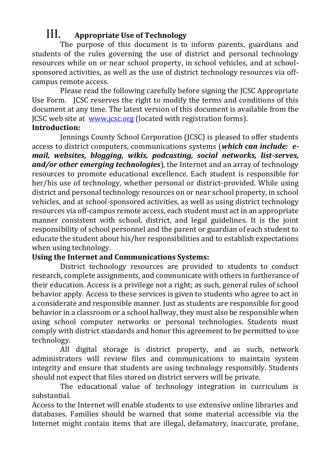# III. **Appropriate Use of Technology**

The purpose of this document is to inform parents, guardians and students of the rules governing the use of district and personal technology resources while on or near school property, in school vehicles, and at schoolsponsored activities, as well as the use of district technology resources via offcampus remote access.

Please read the following carefully before signing the JCSC Appropriate Use Form. JCSC reserves the right to modify the terms and conditions of this document at any time. The latest version of this document is available from the JCSC web site at [www.jcsc.org](http://www.jcsc.org/) (located with registration forms).

# **Introduction:**

Jennings County School Corporation (JCSC) is pleased to offer students access to district computers, communications systems (*which can include: email, websites, blogging, wikis, podcasting, social networks, list-serves, and/or other emerging technologies*), the Internet and an array of technology resources to promote educational excellence. Each student is responsible for her/his use of technology, whether personal or district-provided. While using district and personal technology resources on or near school property, in school vehicles, and at school-sponsored activities, as well as using district technology resources via off-campus remote access, each student must act in an appropriate manner consistent with school, district, and legal guidelines. It is the joint responsibility of school personnel and the parent or guardian of each student to educate the student about his/her responsibilities and to establish expectations when using technology.

# **Using the Internet and Communications Systems:**

District technology resources are provided to students to conduct research, complete assignments, and communicate with others in furtherance of their education. Access is a privilege not a right; as such, general rules of school behavior apply. Access to these services is given to students who agree to act in a considerate and responsible manner. Just as students are responsible for good behavior in a classroom or a school hallway, they must also be responsible when using school computer networks or personal technologies. Students must comply with district standards and honor this agreement to be permitted to use technology.

All digital storage is district property, and as such, network administrators will review files and communications to maintain system integrity and ensure that students are using technology responsibly. Students should not expect that files stored on district servers will be private.

The educational value of technology integration in curriculum is substantial.

Access to the Internet will enable students to use extensive online libraries and databases. Families should be warned that some material accessible via the Internet might contain items that are illegal, defamatory, inaccurate, profane,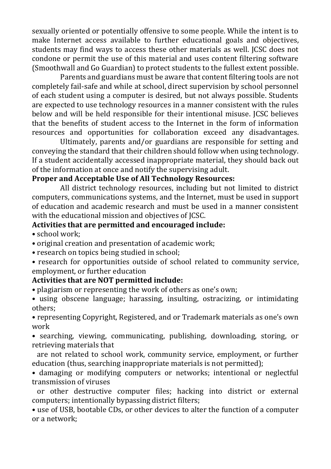sexually oriented or potentially offensive to some people. While the intent is to make Internet access available to further educational goals and objectives, students may find ways to access these other materials as well. JCSC does not condone or permit the use of this material and uses content filtering software (Smoothwall and Go Guardian) to protect students to the fullest extent possible.

Parents and guardians must be aware that content filtering tools are not completely fail-safe and while at school, direct supervision by school personnel of each student using a computer is desired, but not always possible. Students are expected to use technology resources in a manner consistent with the rules below and will be held responsible for their intentional misuse. JCSC believes that the benefits of student access to the Internet in the form of information resources and opportunities for collaboration exceed any disadvantages.

Ultimately, parents and/or guardians are responsible for setting and conveying the standard that their children should follow when using technology. If a student accidentally accessed inappropriate material, they should back out of the information at once and notify the supervising adult.

### **Proper and Acceptable Use of All Technology Resources:**

All district technology resources, including but not limited to district computers, communications systems, and the Internet, must be used in support of education and academic research and must be used in a manner consistent with the educational mission and objectives of JCSC.

### **Activities that are permitted and encouraged include:**

- school work;
- original creation and presentation of academic work;
- research on topics being studied in school;
- research for opportunities outside of school related to community service, employment, or further education

# **Activities that are NOT permitted include:**

- plagiarism or representing the work of others as one's own;
- using obscene language; harassing, insulting, ostracizing, or intimidating others;

• representing Copyright, Registered, and or Trademark materials as one's own work

• searching, viewing, communicating, publishing, downloading, storing, or retrieving materials that

 are not related to school work, community service, employment, or further education (thus, searching inappropriate materials is not permitted);

• damaging or modifying computers or networks; intentional or neglectful transmission of viruses

 or other destructive computer files; hacking into district or external computers; intentionally bypassing district filters;

• use of USB, bootable CDs, or other devices to alter the function of a computer or a network;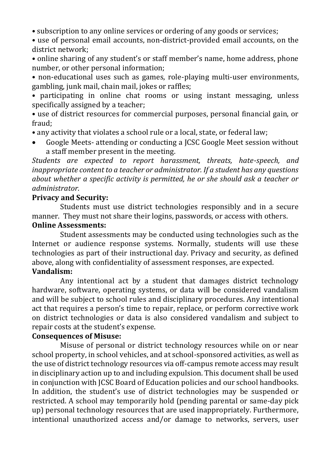• subscription to any online services or ordering of any goods or services;

• use of personal email accounts, non-district-provided email accounts, on the district network;

• online sharing of any student's or staff member's name, home address, phone number, or other personal information;

• non-educational uses such as games, role-playing multi-user environments, gambling, junk mail, chain mail, jokes or raffles;

• participating in online chat rooms or using instant messaging, unless specifically assigned by a teacher;

• use of district resources for commercial purposes, personal financial gain, or fraud;

• any activity that violates a school rule or a local, state, or federal law;

• Google Meets- attending or conducting a JCSC Google Meet session without a staff member present in the meeting.

*Students are expected to report harassment, threats, hate-speech, and inappropriate content to a teacher or administrator. If a student has any questions about whether a specific activity is permitted, he or she should ask a teacher or administrator.*

### **Privacy and Security:**

Students must use district technologies responsibly and in a secure manner. They must not share their logins, passwords, or access with others.

# **Online Assessments:**

Student assessments may be conducted using technologies such as the Internet or audience response systems. Normally, students will use these technologies as part of their instructional day. Privacy and security, as defined above, along with confidentiality of assessment responses, are expected.

### **Vandalism:**

Any intentional act by a student that damages district technology hardware, software, operating systems, or data will be considered vandalism and will be subject to school rules and disciplinary procedures. Any intentional act that requires a person's time to repair, replace, or perform corrective work on district technologies or data is also considered vandalism and subject to repair costs at the student's expense.

### **Consequences of Misuse:**

Misuse of personal or district technology resources while on or near school property, in school vehicles, and at school-sponsored activities, as well as the use of district technology resources via off-campus remote access may result in disciplinary action up to and including expulsion. This document shall be used in conjunction with JCSC Board of Education policies and our school handbooks. In addition, the student's use of district technologies may be suspended or restricted. A school may temporarily hold (pending parental or same-day pick up) personal technology resources that are used inappropriately. Furthermore, intentional unauthorized access and/or damage to networks, servers, user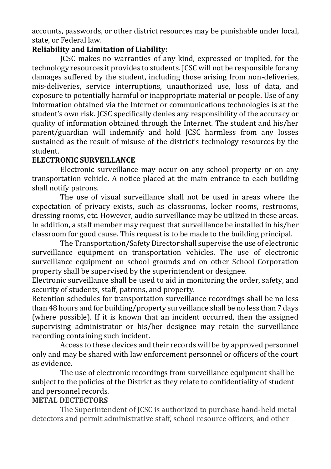accounts, passwords, or other district resources may be punishable under local, state, or Federal law.

### **Reliability and Limitation of Liability:**

JCSC makes no warranties of any kind, expressed or implied, for the technology resources it provides to students. JCSC will not be responsible for any damages suffered by the student, including those arising from non-deliveries, mis-deliveries, service interruptions, unauthorized use, loss of data, and exposure to potentially harmful or inappropriate material or people. Use of any information obtained via the Internet or communications technologies is at the student's own risk. JCSC specifically denies any responsibility of the accuracy or quality of information obtained through the Internet. The student and his/her parent/guardian will indemnify and hold JCSC harmless from any losses sustained as the result of misuse of the district's technology resources by the student.

### **ELECTRONIC SURVEILLANCE**

Electronic surveillance may occur on any school property or on any transportation vehicle. A notice placed at the main entrance to each building shall notify patrons.

The use of visual surveillance shall not be used in areas where the expectation of privacy exists, such as classrooms, locker rooms, restrooms, dressing rooms, etc. However, audio surveillance may be utilized in these areas. In addition, a staff member may request that surveillance be installed in his/her classroom for good cause. This request is to be made to the building principal.

The Transportation/Safety Director shall supervise the use of electronic surveillance equipment on transportation vehicles. The use of electronic surveillance equipment on school grounds and on other School Corporation property shall be supervised by the superintendent or designee.

Electronic surveillance shall be used to aid in monitoring the order, safety, and security of students, staff, patrons, and property.

Retention schedules for transportation surveillance recordings shall be no less than 48 hours and for building/property surveillance shall be no less than 7 days (where possible). If it is known that an incident occurred, then the assigned supervising administrator or his/her designee may retain the surveillance recording containing such incident.

Access to these devices and their records will be by approved personnel only and may be shared with law enforcement personnel or officers of the court as evidence.

The use of electronic recordings from surveillance equipment shall be subject to the policies of the District as they relate to confidentiality of student and personnel records.

# **METAL DECTECTORS**

The Superintendent of JCSC is authorized to purchase hand-held metal detectors and permit administrative staff, school resource officers, and other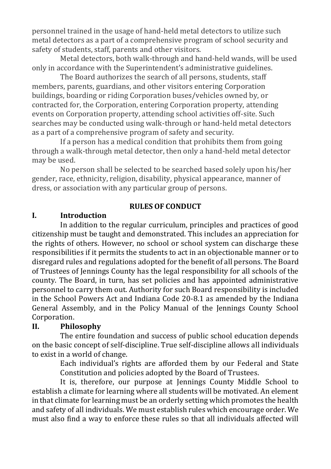personnel trained in the usage of hand-held metal detectors to utilize such metal detectors as a part of a comprehensive program of school security and safety of students, staff, parents and other visitors.

Metal detectors, both walk-through and hand-held wands, will be used only in accordance with the Superintendent's administrative guidelines.

The Board authorizes the search of all persons, students, staff members, parents, guardians, and other visitors entering Corporation buildings, boarding or riding Corporation buses/vehicles owned by, or contracted for, the Corporation, entering Corporation property, attending events on Corporation property, attending school activities off-site. Such searches may be conducted using walk-through or hand-held metal detectors as a part of a comprehensive program of safety and security.

If a person has a medical condition that prohibits them from going through a walk-through metal detector, then only a hand-held metal detector may be used.

No person shall be selected to be searched based solely upon his/her gender, race, ethnicity, religion, disability, physical appearance, manner of dress, or association with any particular group of persons.

### **RULES OF CONDUCT**

# **I. Introduction**

In addition to the regular curriculum, principles and practices of good citizenship must be taught and demonstrated. This includes an appreciation for the rights of others. However, no school or school system can discharge these responsibilities if it permits the students to act in an objectionable manner or to disregard rules and regulations adopted for the benefit of all persons. The Board of Trustees of Jennings County has the legal responsibility for all schools of the county. The Board, in turn, has set policies and has appointed administrative personnel to carry them out. Authority for such Board responsibility is included in the School Powers Act and Indiana Code 20-8.1 as amended by the Indiana General Assembly, and in the Policy Manual of the Jennings County School Corporation.

# **II. Philosophy**

The entire foundation and success of public school education depends on the basic concept of self-discipline. True self-discipline allows all individuals to exist in a world of change.

> Each individual's rights are afforded them by our Federal and State Constitution and policies adopted by the Board of Trustees.

It is, therefore, our purpose at Jennings County Middle School to establish a climate for learning where all students will be motivated. An element in that climate for learning must be an orderly setting which promotes the health and safety of all individuals. We must establish rules which encourage order. We must also find a way to enforce these rules so that all individuals affected will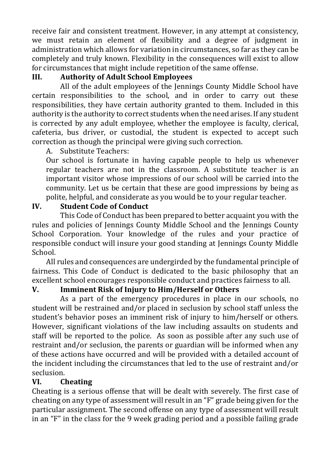receive fair and consistent treatment. However, in any attempt at consistency, we must retain an element of flexibility and a degree of judgment in administration which allows for variation in circumstances, so far as they can be completely and truly known. Flexibility in the consequences will exist to allow for circumstances that might include repetition of the same offense.

# **III. Authority of Adult School Employees**

All of the adult employees of the Jennings County Middle School have certain responsibilities to the school, and in order to carry out these responsibilities, they have certain authority granted to them. Included in this authority is the authority to correct students when the need arises. If any student is corrected by any adult employee, whether the employee is faculty, clerical, cafeteria, bus driver, or custodial, the student is expected to accept such correction as though the principal were giving such correction.

A. Substitute Teachers:

Our school is fortunate in having capable people to help us whenever regular teachers are not in the classroom. A substitute teacher is an important visitor whose impressions of our school will be carried into the community. Let us be certain that these are good impressions by being as polite, helpful, and considerate as you would be to your regular teacher.

# **IV. Student Code of Conduct**

This Code of Conduct has been prepared to better acquaint you with the rules and policies of Jennings County Middle School and the Jennings County School Corporation. Your knowledge of the rules and your practice of responsible conduct will insure your good standing at Jennings County Middle School.

All rules and consequences are undergirded by the fundamental principle of fairness. This Code of Conduct is dedicated to the basic philosophy that an excellent school encourages responsible conduct and practices fairness to all.

# **V. Imminent Risk of Injury to Him/Herself or Others**

As a part of the emergency procedures in place in our schools, no student will be restrained and/or placed in seclusion by school staff unless the student's behavior poses an imminent risk of injury to him/herself or others. However, significant violations of the law including assaults on students and staff will be reported to the police. As soon as possible after any such use of restraint and/or seclusion, the parents or guardian will be informed when any of these actions have occurred and will be provided with a detailed account of the incident including the circumstances that led to the use of restraint and/or seclusion.

# **VI. Cheating**

Cheating is a serious offense that will be dealt with severely. The first case of cheating on any type of assessment will result in an "F" grade being given for the particular assignment. The second offense on any type of assessment will result in an "F" in the class for the 9 week grading period and a possible failing grade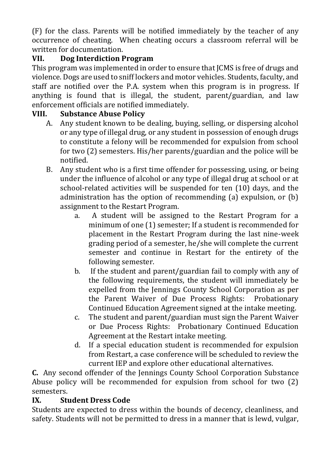(F) for the class. Parents will be notified immediately by the teacher of any occurrence of cheating. When cheating occurs a classroom referral will be written for documentation.

# **VII. Dog Interdiction Program**

This program was implemented in order to ensure that JCMS is free of drugs and violence. Dogs are used to sniff lockers and motor vehicles. Students, faculty, and staff are notified over the P.A. system when this program is in progress. If anything is found that is illegal, the student, parent/guardian, and law enforcement officials are notified immediately.

# **VIII. Substance Abuse Policy**

- A. Any student known to be dealing, buying, selling, or dispersing alcohol or any type of illegal drug, or any student in possession of enough drugs to constitute a felony will be recommended for expulsion from school for two (2) semesters. His/her parents/guardian and the police will be notified.
- B. Any student who is a first time offender for possessing, using, or being under the influence of alcohol or any type of illegal drug at school or at school-related activities will be suspended for ten (10) days, and the administration has the option of recommending (a) expulsion, or (b) assignment to the Restart Program.
	- a. A student will be assigned to the Restart Program for a minimum of one (1) semester; If a student is recommended for placement in the Restart Program during the last nine-week grading period of a semester, he/she will complete the current semester and continue in Restart for the entirety of the following semester.
	- b. If the student and parent/guardian fail to comply with any of the following requirements, the student will immediately be expelled from the Jennings County School Corporation as per the Parent Waiver of Due Process Rights: Probationary Continued Education Agreement signed at the intake meeting.
	- c. The student and parent/guardian must sign the Parent Waiver or Due Process Rights: Probationary Continued Education Agreement at the Restart intake meeting.
	- d. If a special education student is recommended for expulsion from Restart, a case conference will be scheduled to review the current IEP and explore other educational alternatives.

**C.** Any second offender of the Jennings County School Corporation Substance Abuse policy will be recommended for expulsion from school for two (2) semesters.

# **IX. Student Dress Code**

Students are expected to dress within the bounds of decency, cleanliness, and safety. Students will not be permitted to dress in a manner that is lewd, vulgar,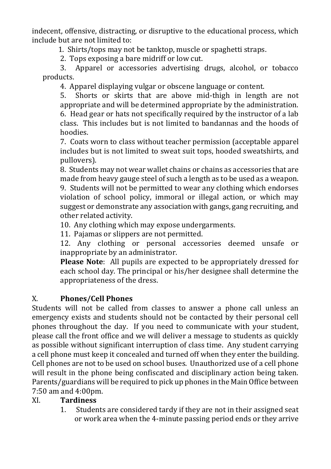indecent, offensive, distracting, or disruptive to the educational process, which include but are not limited to:

1. Shirts/tops may not be tanktop, muscle or spaghetti straps.

2. Tops exposing a bare midriff or low cut.

3. Apparel or accessories advertising drugs, alcohol, or tobacco products.

4. Apparel displaying vulgar or obscene language or content.

5. Shorts or skirts that are above mid-thigh in length are not appropriate and will be determined appropriate by the administration. 6. Head gear or hats not specifically required by the instructor of a lab class. This includes but is not limited to bandannas and the hoods of hoodies.

7. Coats worn to class without teacher permission (acceptable apparel includes but is not limited to sweat suit tops, hooded sweatshirts, and pullovers).

8. Students may not wear wallet chains or chains as accessories that are made from heavy gauge steel of such a length as to be used as a weapon. 9. Students will not be permitted to wear any clothing which endorses violation of school policy, immoral or illegal action, or which may suggest or demonstrate any association with gangs, gang recruiting, and other related activity.

10. Any clothing which may expose undergarments.

11. Pajamas or slippers are not permitted.

12. Any clothing or personal accessories deemed unsafe or inappropriate by an administrator.

**Please Note**: All pupils are expected to be appropriately dressed for each school day. The principal or his/her designee shall determine the appropriateness of the dress.

# X. **Phones/Cell Phones**

Students will not be called from classes to answer a phone call unless an emergency exists and students should not be contacted by their personal cell phones throughout the day. If you need to communicate with your student, please call the front office and we will deliver a message to students as quickly as possible without significant interruption of class time. Any student carrying a cell phone must keep it concealed and turned off when they enter the building. Cell phones are not to be used on school buses. Unauthorized use of a cell phone will result in the phone being confiscated and disciplinary action being taken. Parents/guardians will be required to pick up phones in the Main Office between 7:50 am and 4:00pm.

# XI. **Tardiness**

1. Students are considered tardy if they are not in their assigned seat or work area when the 4-minute passing period ends or they arrive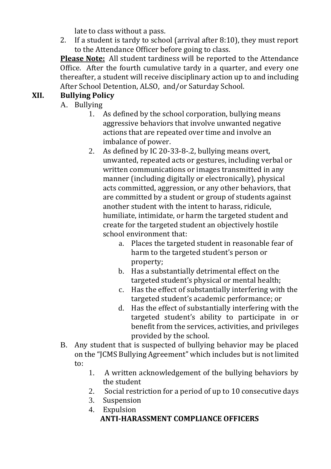late to class without a pass.

2. If a student is tardy to school (arrival after 8:10), they must report to the Attendance Officer before going to class.

**Please Note:** All student tardiness will be reported to the Attendance Office. After the fourth cumulative tardy in a quarter, and every one thereafter, a student will receive disciplinary action up to and including After School Detention, ALSO, and/or Saturday School.

# **XII. Bullying Policy**

A. Bullying

- 1. As defined by the school corporation, bullying means aggressive behaviors that involve unwanted negative actions that are repeated over time and involve an imbalance of power.
- 2. As defined by IC 20-33-8-.2, bullying means overt, unwanted, repeated acts or gestures, including verbal or written communications or images transmitted in any manner (including digitally or electronically), physical acts committed, aggression, or any other behaviors, that are committed by a student or group of students against another student with the intent to harass, ridicule, humiliate, intimidate, or harm the targeted student and create for the targeted student an objectively hostile school environment that:
	- a. Places the targeted student in reasonable fear of harm to the targeted student's person or property;
	- b. Has a substantially detrimental effect on the targeted student's physical or mental health;
	- c. Has the effect of substantially interfering with the targeted student's academic performance; or
	- d. Has the effect of substantially interfering with the targeted student's ability to participate in or benefit from the services, activities, and privileges provided by the school.
- B. Any student that is suspected of bullying behavior may be placed on the "JCMS Bullying Agreement" which includes but is not limited to:
	- 1. A written acknowledgement of the bullying behaviors by the student
	- 2. Social restriction for a period of up to 10 consecutive days
	- 3. Suspension
	- 4. Expulsion

# **ANTI-HARASSMENT COMPLIANCE OFFICERS**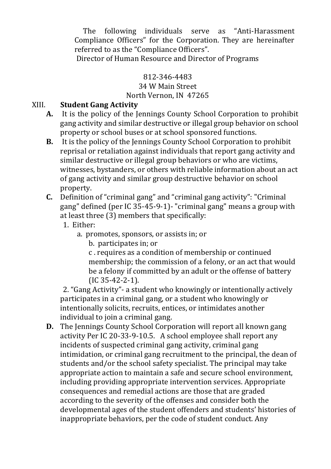The following individuals serve as "Anti-Harassment Compliance Officers" for the Corporation. They are hereinafter referred to as the "Compliance Officers".

Director of Human Resource and Director of Programs

### 812-346-4483

# 34 W Main Street

# North Vernon, IN 47265

### XIII. **Student Gang Activity**

- **A.** It is the policy of the Jennings County School Corporation to prohibit gang activity and similar destructive or illegal group behavior on school property or school buses or at school sponsored functions.
- **B.** It is the policy of the Jennings County School Corporation to prohibit reprisal or retaliation against individuals that report gang activity and similar destructive or illegal group behaviors or who are victims, witnesses, bystanders, or others with reliable information about an act of gang activity and similar group destructive behavior on school property.
- **C.** Definition of "criminal gang" and "criminal gang activity": "Criminal gang" defined (per IC 35-45-9-1)- "criminal gang" means a group with at least three  $(3)$  members that specifically:
	- 1. Either:
		- a. promotes, sponsors, or assists in; or
			- b. participates in; or

c . requires as a condition of membership or continued membership; the commission of a felony, or an act that would be a felony if committed by an adult or the offense of battery (IC 35-42-2-1).

 2. "Gang Activity"- a student who knowingly or intentionally actively participates in a criminal gang, or a student who knowingly or intentionally solicits, recruits, entices, or intimidates another individual to join a criminal gang.

**D.** The Jennings County School Corporation will report all known gang activity Per IC 20-33-9-10.5. A school employee shall report any incidents of suspected criminal gang activity, criminal gang intimidation, or criminal gang recruitment to the principal, the dean of students and/or the school safety specialist. The principal may take appropriate action to maintain a safe and secure school environment, including providing appropriate intervention services. Appropriate consequences and remedial actions are those that are graded according to the severity of the offenses and consider both the developmental ages of the student offenders and students' histories of inappropriate behaviors, per the code of student conduct. Any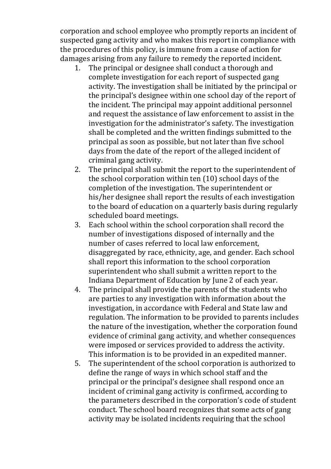corporation and school employee who promptly reports an incident of suspected gang activity and who makes this report in compliance with the procedures of this policy, is immune from a cause of action for damages arising from any failure to remedy the reported incident.

- 1. The principal or designee shall conduct a thorough and complete investigation for each report of suspected gang activity. The investigation shall be initiated by the principal or the principal's designee within one school day of the report of the incident. The principal may appoint additional personnel and request the assistance of law enforcement to assist in the investigation for the administrator's safety. The investigation shall be completed and the written findings submitted to the principal as soon as possible, but not later than five school days from the date of the report of the alleged incident of criminal gang activity.
- 2. The principal shall submit the report to the superintendent of the school corporation within ten (10) school days of the completion of the investigation. The superintendent or his/her designee shall report the results of each investigation to the board of education on a quarterly basis during regularly scheduled board meetings.
- 3. Each school within the school corporation shall record the number of investigations disposed of internally and the number of cases referred to local law enforcement, disaggregated by race, ethnicity, age, and gender. Each school shall report this information to the school corporation superintendent who shall submit a written report to the Indiana Department of Education by June 2 of each year.
- 4. The principal shall provide the parents of the students who are parties to any investigation with information about the investigation, in accordance with Federal and State law and regulation. The information to be provided to parents includes the nature of the investigation, whether the corporation found evidence of criminal gang activity, and whether consequences were imposed or services provided to address the activity. This information is to be provided in an expedited manner.
- 5. The superintendent of the school corporation is authorized to define the range of ways in which school staff and the principal or the principal's designee shall respond once an incident of criminal gang activity is confirmed, according to the parameters described in the corporation's code of student conduct. The school board recognizes that some acts of gang activity may be isolated incidents requiring that the school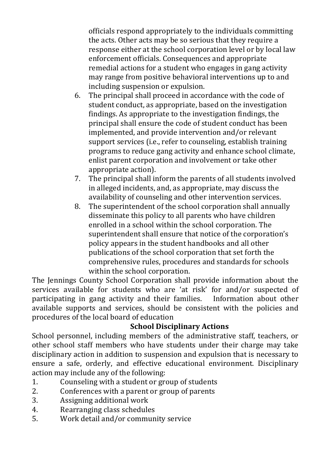officials respond appropriately to the individuals committing the acts. Other acts may be so serious that they require a response either at the school corporation level or by local law enforcement officials. Consequences and appropriate remedial actions for a student who engages in gang activity may range from positive behavioral interventions up to and including suspension or expulsion.

- 6. The principal shall proceed in accordance with the code of student conduct, as appropriate, based on the investigation findings. As appropriate to the investigation findings, the principal shall ensure the code of student conduct has been implemented, and provide intervention and/or relevant support services (i.e., refer to counseling, establish training programs to reduce gang activity and enhance school climate, enlist parent corporation and involvement or take other appropriate action).
- 7. The principal shall inform the parents of all students involved in alleged incidents, and, as appropriate, may discuss the availability of counseling and other intervention services.
- 8. The superintendent of the school corporation shall annually disseminate this policy to all parents who have children enrolled in a school within the school corporation. The superintendent shall ensure that notice of the corporation's policy appears in the student handbooks and all other publications of the school corporation that set forth the comprehensive rules, procedures and standards for schools within the school corporation.

The Jennings County School Corporation shall provide information about the services available for students who are 'at risk' for and/or suspected of participating in gang activity and their families. Information about other available supports and services, should be consistent with the policies and procedures of the local board of education

# **School Disciplinary Actions**

School personnel, including members of the administrative staff, teachers, or other school staff members who have students under their charge may take disciplinary action in addition to suspension and expulsion that is necessary to ensure a safe, orderly, and effective educational environment. Disciplinary action may include any of the following:

- 1. Counseling with a student or group of students
- 2. Conferences with a parent or group of parents
- 3. Assigning additional work
- 4. Rearranging class schedules
- 5. Work detail and/or community service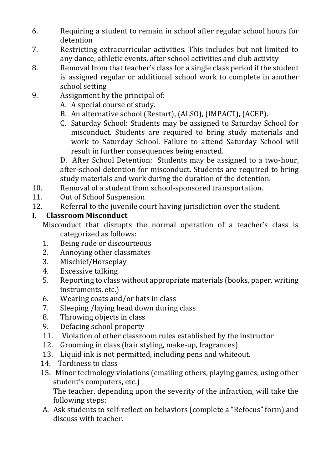- 6. Requiring a student to remain in school after regular school hours for detention
- 7. Restricting extracurricular activities. This includes but not limited to any dance, athletic events, after school activities and club activity
- 8. Removal from that teacher's class for a single class period if the student is assigned regular or additional school work to complete in another school setting
- 9. Assignment by the principal of:
	- A. A special course of study.
	- B. An alternative school (Restart), (ALSO), (IMPACT), (ACEP).
	- C. Saturday School: Students may be assigned to Saturday School for misconduct. Students are required to bring study materials and work to Saturday School. Failure to attend Saturday School will result in further consequences being enacted.

D. After School Detention: Students may be assigned to a two-hour, after-school detention for misconduct. Students are required to bring study materials and work during the duration of the detention.

- 10. Removal of a student from school-sponsored transportation.
- 11. Out of School Suspension
- 12. Referral to the juvenile court having jurisdiction over the student.

# **I. Classroom Misconduct**

Misconduct that disrupts the normal operation of a teacher's class is categorized as follows:

- 1. Being rude or discourteous
- 2. Annoying other classmates
- 3. Mischief/Horseplay
- 4. Excessive talking
- 5. Reporting to class without appropriate materials (books, paper, writing instruments, etc.)
- 6. Wearing coats and/or hats in class
- 7. Sleeping /laying head down during class
- 8. Throwing objects in class
- 9. Defacing school property
- 11. Violation of other classroom rules established by the instructor
- 12. Grooming in class (hair styling, make-up, fragrances)
- 13. Liquid ink is not permitted, including pens and whiteout.
- 14. Tardiness to class
- 15. Minor technology violations (emailing others, playing games, using other student's computers, etc.)

The teacher, depending upon the severity of the infraction, will take the following steps:

A. Ask students to self-reflect on behaviors (complete a "Refocus" form) and discuss with teacher.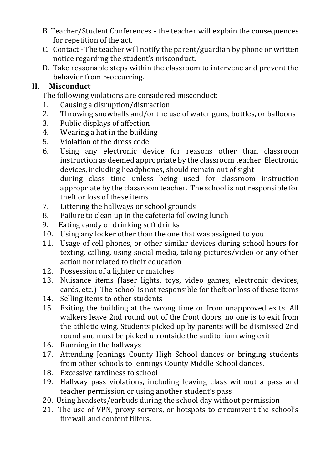- B. Teacher/Student Conferences the teacher will explain the consequences for repetition of the act.
- C. Contact The teacher will notify the parent/guardian by phone or written notice regarding the student's misconduct.
- D. Take reasonable steps within the classroom to intervene and prevent the behavior from reoccurring.

# **II. Misconduct**

The following violations are considered misconduct:

- 1. Causing a disruption/distraction
- 2. Throwing snowballs and/or the use of water guns, bottles, or balloons
- 3. Public displays of affection
- 4. Wearing a hat in the building
- 5. Violation of the dress code
- 6. Using any electronic device for reasons other than classroom instruction as deemed appropriate by the classroom teacher. Electronic devices, including headphones, should remain out of sight during class time unless being used for classroom instruction appropriate by the classroom teacher. The school is not responsible for theft or loss of these items.
- 7. Littering the hallways or school grounds
- 8. Failure to clean up in the cafeteria following lunch
- 9. Eating candy or drinking soft drinks
- 10. Using any locker other than the one that was assigned to you
- 11. Usage of cell phones, or other similar devices during school hours for texting, calling, using social media, taking pictures/video or any other action not related to their education
- 12. Possession of a lighter or matches
- 13. Nuisance items (laser lights, toys, video games, electronic devices, cards, etc.) The school is not responsible for theft or loss of these items
- 14. Selling items to other students
- 15. Exiting the building at the wrong time or from unapproved exits. All walkers leave 2nd round out of the front doors, no one is to exit from the athletic wing. Students picked up by parents will be dismissed 2nd round and must be picked up outside the auditorium wing exit
- 16. Running in the hallways
- 17. Attending Jennings County High School dances or bringing students from other schools to Jennings County Middle School dances.
- 18. Excessive tardiness to school
- 19. Hallway pass violations, including leaving class without a pass and teacher permission or using another student's pass
- 20. Using headsets/earbuds during the school day without permission
- 21. The use of VPN, proxy servers, or hotspots to circumvent the school's firewall and content filters.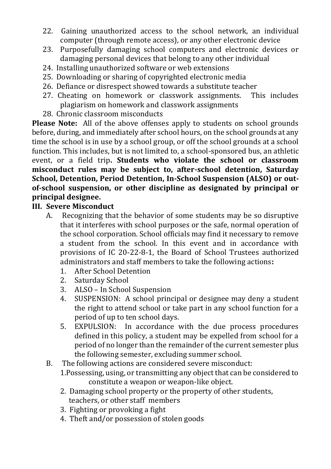- 22. Gaining unauthorized access to the school network, an individual computer (through remote access), or any other electronic device
- 23. Purposefully damaging school computers and electronic devices or damaging personal devices that belong to any other individual
- 24. Installing unauthorized software or web extensions
- 25. Downloading or sharing of copyrighted electronic media
- 26. Defiance or disrespect showed towards a substitute teacher
- 27. Cheating on homework or classwork assignments. This includes plagiarism on homework and classwork assignments
- 28. Chronic classroom misconducts

**Please Note:** All of the above offenses apply to students on school grounds before, during, and immediately after school hours, on the school grounds at any time the school is in use by a school group, or off the school grounds at a school function. This includes, but is not limited to, a school-sponsored bus, an athletic event, or a field trip**. Students who violate the school or classroom misconduct rules may be subject to, after-school detention, Saturday School, Detention, Period Detention, In-School Suspension (ALSO) or outof-school suspension, or other discipline as designated by principal or principal designee.**

# **III. Severe Misconduct**

- A. Recognizing that the behavior of some students may be so disruptive that it interferes with school purposes or the safe, normal operation of the school corporation. School officials may find it necessary to remove a student from the school. In this event and in accordance with provisions of IC 20-22-8-1, the Board of School Trustees authorized administrators and staff members to take the following actions**:**
	- 1. After School Detention
	- 2. Saturday School
	- 3. ALSO In School Suspension
	- 4. SUSPENSION: A school principal or designee may deny a student the right to attend school or take part in any school function for a period of up to ten school days.
	- 5. EXPULSION: In accordance with the due process procedures defined in this policy, a student may be expelled from school for a period of no longer than the remainder of the current semester plus the following semester, excluding summer school.
- B. The following actions are considered severe misconduct: 1.Possessing, using, or transmitting any object that can be considered to constitute a weapon or weapon-like object.
	- 2. Damaging school property or the property of other students, teachers, or other staff members
	- 3. Fighting or provoking a fight
	- 4. Theft and/or possession of stolen goods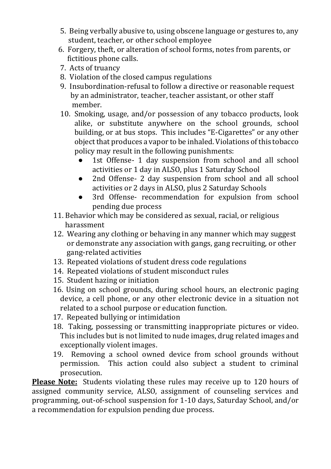- 5. Being verbally abusive to, using obscene language or gestures to, any student, teacher, or other school employee
- 6. Forgery, theft, or alteration of school forms, notes from parents, or fictitious phone calls.
- 7. Acts of truancy
- 8. Violation of the closed campus regulations
- 9. Insubordination-refusal to follow a directive or reasonable request by an administrator, teacher, teacher assistant, or other staff member.
- 10. Smoking, usage, and/or possession of any tobacco products, look alike, or substitute anywhere on the school grounds, school building, or at bus stops. This includes "E-Cigarettes" or any other object that produces a vapor to be inhaled. Violations of this tobacco policy may result in the following punishments:
	- 1st Offense- 1 day suspension from school and all school activities or 1 day in ALSO, plus 1 Saturday School
	- 2nd Offense- 2 day suspension from school and all school activities or 2 days in ALSO, plus 2 Saturday Schools
	- 3rd Offense- recommendation for expulsion from school pending due process
- 11. Behavior which may be considered as sexual, racial, or religious harassment
- 12. Wearing any clothing or behaving in any manner which may suggest or demonstrate any association with gangs, gang recruiting, or other gang-related activities
- 13. Repeated violations of student dress code regulations
- 14. Repeated violations of student misconduct rules
- 15. Student hazing or initiation
- 16. Using on school grounds, during school hours, an electronic paging device, a cell phone, or any other electronic device in a situation not related to a school purpose or education function.
- 17. Repeated bullying or intimidation
- 18. Taking, possessing or transmitting inappropriate pictures or video. This includes but is not limited to nude images, drug related images and exceptionally violent images.
- 19. Removing a school owned device from school grounds without permission. This action could also subject a student to criminal prosecution.

**Please Note:** Students violating these rules may receive up to 120 hours of assigned community service, ALSO, assignment of counseling services and programming, out-of-school suspension for 1-10 days, Saturday School, and/or a recommendation for expulsion pending due process.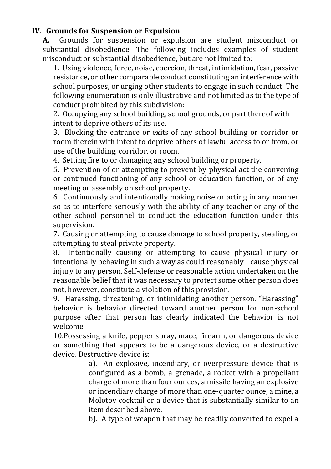### **IV. Grounds for Suspension or Expulsion**

**A.** Grounds for suspension or expulsion are student misconduct or substantial disobedience. The following includes examples of student misconduct or substantial disobedience, but are not limited to:

1. Using violence, force, noise, coercion, threat, intimidation, fear, passive resistance, or other comparable conduct constituting an interference with school purposes, or urging other students to engage in such conduct. The following enumeration is only illustrative and not limited as to the type of conduct prohibited by this subdivision:

2. Occupying any school building, school grounds, or part thereof with intent to deprive others of its use.

3. Blocking the entrance or exits of any school building or corridor or room therein with intent to deprive others of lawful access to or from, or use of the building, corridor, or room.

4. Setting fire to or damaging any school building or property.

5. Prevention of or attempting to prevent by physical act the convening or continued functioning of any school or education function, or of any meeting or assembly on school property.

6. Continuously and intentionally making noise or acting in any manner so as to interfere seriously with the ability of any teacher or any of the other school personnel to conduct the education function under this supervision.

7. Causing or attempting to cause damage to school property, stealing, or attempting to steal private property.

8. Intentionally causing or attempting to cause physical injury or intentionally behaving in such a way as could reasonably cause physical injury to any person. Self-defense or reasonable action undertaken on the reasonable belief that it was necessary to protect some other person does not, however, constitute a violation of this provision.

9. Harassing, threatening, or intimidating another person. "Harassing" behavior is behavior directed toward another person for non-school purpose after that person has clearly indicated the behavior is not welcome.

10.Possessing a knife, pepper spray, mace, firearm, or dangerous device or something that appears to be a dangerous device, or a destructive device. Destructive device is:

> a). An explosive, incendiary, or overpressure device that is configured as a bomb, a grenade, a rocket with a propellant charge of more than four ounces, a missile having an explosive or incendiary charge of more than one-quarter ounce, a mine, a Molotov cocktail or a device that is substantially similar to an item described above.

> b). A type of weapon that may be readily converted to expel a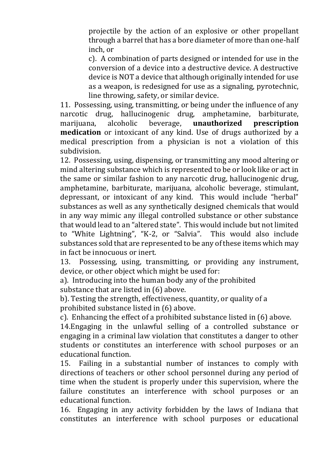projectile by the action of an explosive or other propellant through a barrel that has a bore diameter of more than one-half inch, or

c). A combination of parts designed or intended for use in the conversion of a device into a destructive device. A destructive device is NOT a device that although originally intended for use as a weapon, is redesigned for use as a signaling, pyrotechnic, line throwing, safety, or similar device.

11. Possessing, using, transmitting, or being under the influence of any narcotic drug, hallucinogenic drug, amphetamine, barbiturate, marijuana, alcoholic beverage, **unauthorized prescription medication** or intoxicant of any kind. Use of drugs authorized by a medical prescription from a physician is not a violation of this subdivision.

 12. Possessing, using, dispensing, or transmitting any mood altering or mind altering substance which is represented to be or look like or act in the same or similar fashion to any narcotic drug, hallucinogenic drug, amphetamine, barbiturate, marijuana, alcoholic beverage, stimulant, depressant, or intoxicant of any kind. This would include "herbal" substances as well as any synthetically designed chemicals that would in any way mimic any illegal controlled substance or other substance that would lead to an "altered state". This would include but not limited to "White Lightning", "K-2, or "Salvia". This would also include substances sold that are represented to be any of these items which may in fact be innocuous or inert.

13. Possessing, using, transmitting, or providing any instrument, device, or other object which might be used for:

a). Introducing into the human body any of the prohibited substance that are listed in (6) above.

b). Testing the strength, effectiveness, quantity, or quality of a prohibited substance listed in (6) above.

c). Enhancing the effect of a prohibited substance listed in (6) above.

14.Engaging in the unlawful selling of a controlled substance or engaging in a criminal law violation that constitutes a danger to other students or constitutes an interference with school purposes or an educational function.

15. Failing in a substantial number of instances to comply with directions of teachers or other school personnel during any period of time when the student is properly under this supervision, where the failure constitutes an interference with school purposes or an educational function.

16. Engaging in any activity forbidden by the laws of Indiana that constitutes an interference with school purposes or educational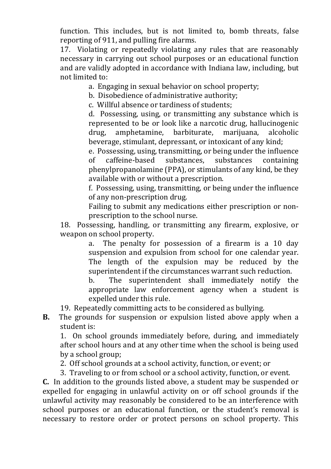function. This includes, but is not limited to, bomb threats, false reporting of 911, and pulling fire alarms.

17. Violating or repeatedly violating any rules that are reasonably necessary in carrying out school purposes or an educational function and are validly adopted in accordance with Indiana law, including, but not limited to:

a. Engaging in sexual behavior on school property;

b. Disobedience of administrative authority;

c. Willful absence or tardiness of students;

d. Possessing, using, or transmitting any substance which is represented to be or look like a narcotic drug, hallucinogenic drug, amphetamine, barbiturate, marijuana, alcoholic beverage, stimulant, depressant, or intoxicant of any kind;

e. Possessing, using, transmitting, or being under the influence of caffeine-based substances, substances containing phenylpropanolamine (PPA), or stimulants of any kind, be they available with or without a prescription.

f. Possessing, using, transmitting, or being under the influence of any non-prescription drug.

Failing to submit any medications either prescription or nonprescription to the school nurse.

18. Possessing, handling, or transmitting any firearm, explosive, or weapon on school property.

a. The penalty for possession of a firearm is a 10 day suspension and expulsion from school for one calendar year. The length of the expulsion may be reduced by the superintendent if the circumstances warrant such reduction.

b. The superintendent shall immediately notify the appropriate law enforcement agency when a student is expelled under this rule.

19. Repeatedly committing acts to be considered as bullying.

**B.** The grounds for suspension or expulsion listed above apply when a student is:

1. On school grounds immediately before, during, and immediately after school hours and at any other time when the school is being used by a school group;

2. Off school grounds at a school activity, function, or event; or

3. Traveling to or from school or a school activity, function, or event.

**C.** In addition to the grounds listed above, a student may be suspended or expelled for engaging in unlawful activity on or off school grounds if the unlawful activity may reasonably be considered to be an interference with school purposes or an educational function, or the student's removal is necessary to restore order or protect persons on school property. This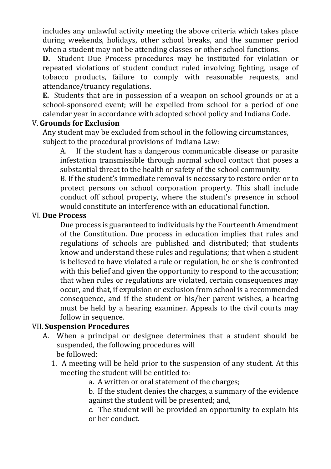includes any unlawful activity meeting the above criteria which takes place during weekends, holidays, other school breaks, and the summer period when a student may not be attending classes or other school functions.

**D.** Student Due Process procedures may be instituted for violation or repeated violations of student conduct ruled involving fighting, usage of tobacco products, failure to comply with reasonable requests, and attendance/truancy regulations.

**E.** Students that are in possession of a weapon on school grounds or at a school-sponsored event; will be expelled from school for a period of one calendar year in accordance with adopted school policy and Indiana Code.

# V. **Grounds for Exclusion**

Any student may be excluded from school in the following circumstances, subject to the procedural provisions of Indiana Law:

A. If the student has a dangerous communicable disease or parasite infestation transmissible through normal school contact that poses a substantial threat to the health or safety of the school community.

B. If the student's immediate removal is necessary to restore order or to protect persons on school corporation property. This shall include conduct off school property, where the student's presence in school would constitute an interference with an educational function.

### VI. **Due Process**

Due process is guaranteed to individuals by the Fourteenth Amendment of the Constitution. Due process in education implies that rules and regulations of schools are published and distributed; that students know and understand these rules and regulations; that when a student is believed to have violated a rule or regulation, he or she is confronted with this belief and given the opportunity to respond to the accusation; that when rules or regulations are violated, certain consequences may occur, and that, if expulsion or exclusion from school is a recommended consequence, and if the student or his/her parent wishes, a hearing must be held by a hearing examiner. Appeals to the civil courts may follow in sequence.

### VII. **Suspension Procedures**

- A. When a principal or designee determines that a student should be suspended, the following procedures will be followed:
	- 1. A meeting will be held prior to the suspension of any student. At this meeting the student will be entitled to:
		- a. A written or oral statement of the charges;

b. If the student denies the charges, a summary of the evidence against the student will be presented; and,

c. The student will be provided an opportunity to explain his or her conduct.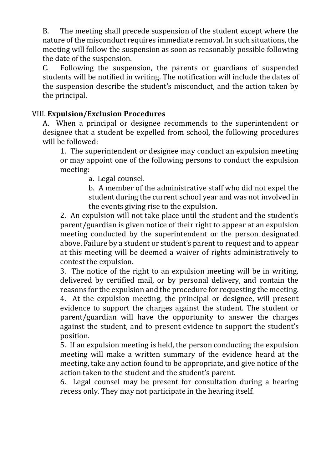B. The meeting shall precede suspension of the student except where the nature of the misconduct requires immediate removal. In such situations, the meeting will follow the suspension as soon as reasonably possible following the date of the suspension.

C. Following the suspension, the parents or guardians of suspended students will be notified in writing. The notification will include the dates of the suspension describe the student's misconduct, and the action taken by the principal.

### VIII. **Expulsion/Exclusion Procedures**

A. When a principal or designee recommends to the superintendent or designee that a student be expelled from school, the following procedures will be followed:

1. The superintendent or designee may conduct an expulsion meeting or may appoint one of the following persons to conduct the expulsion meeting:

a. Legal counsel.

b. A member of the administrative staff who did not expel the student during the current school year and was not involved in the events giving rise to the expulsion.

2. An expulsion will not take place until the student and the student's parent/guardian is given notice of their right to appear at an expulsion meeting conducted by the superintendent or the person designated above. Failure by a student or student's parent to request and to appear at this meeting will be deemed a waiver of rights administratively to contest the expulsion.

3. The notice of the right to an expulsion meeting will be in writing, delivered by certified mail, or by personal delivery, and contain the reasons for the expulsion and the procedure for requesting the meeting. 4. At the expulsion meeting, the principal or designee, will present evidence to support the charges against the student. The student or parent/guardian will have the opportunity to answer the charges against the student, and to present evidence to support the student's position.

5. If an expulsion meeting is held, the person conducting the expulsion meeting will make a written summary of the evidence heard at the meeting, take any action found to be appropriate, and give notice of the action taken to the student and the student's parent.

6. Legal counsel may be present for consultation during a hearing recess only. They may not participate in the hearing itself.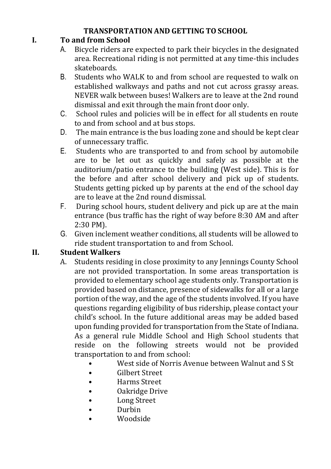# **TRANSPORTATION AND GETTING TO SCHOOL**

# **I. To and from School**

- A. Bicycle riders are expected to park their bicycles in the designated area. Recreational riding is not permitted at any time-this includes skateboards.
- B. Students who WALK to and from school are requested to walk on established walkways and paths and not cut across grassy areas. NEVER walk between buses! Walkers are to leave at the 2nd round dismissal and exit through the main front door only.
- C. School rules and policies will be in effect for all students en route to and from school and at bus stops.
- D. The main entrance is the bus loading zone and should be kept clear of unnecessary traffic.
- E. Students who are transported to and from school by automobile are to be let out as quickly and safely as possible at the auditorium/patio entrance to the building (West side). This is for the before and after school delivery and pick up of students. Students getting picked up by parents at the end of the school day are to leave at the 2nd round dismissal.
- F. During school hours, student delivery and pick up are at the main entrance (bus traffic has the right of way before 8:30 AM and after 2:30 PM).
- G. Given inclement weather conditions, all students will be allowed to ride student transportation to and from School.

# **II. Student Walkers**

- A. Students residing in close proximity to any Jennings County School are not provided transportation. In some areas transportation is provided to elementary school age students only. Transportation is provided based on distance, presence of sidewalks for all or a large portion of the way, and the age of the students involved. If you have questions regarding eligibility of bus ridership, please contact your child's school. In the future additional areas may be added based upon funding provided for transportation from the State of Indiana. As a general rule Middle School and High School students that reside on the following streets would not be provided transportation to and from school:
	- West side of Norris Avenue between Walnut and S St
	- Gilbert Street
	- Harms Street
	- Oakridge Drive
	- **Long Street**
	- Durbin
	- Woodside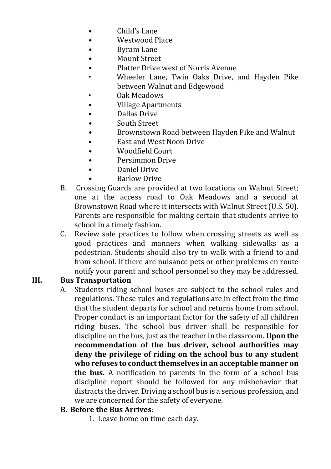- Child's Lane
- Westwood Place
- Byram Lane
- Mount Street
- Platter Drive west of Norris Avenue
- Wheeler Lane, Twin Oaks Drive, and Hayden Pike between Walnut and Edgewood
- Oak Meadows
- Village Apartments
- Dallas Drive
- South Street
- Brownstown Road between Hayden Pike and Walnut
- East and West Noon Drive
- Woodfield Court
- Persimmon Drive
- Daniel Drive
- Barlow Drive
- B. Crossing Guards are provided at two locations on Walnut Street; one at the access road to Oak Meadows and a second at Brownstown Road where it intersects with Walnut Street (U.S. 50). Parents are responsible for making certain that students arrive to school in a timely fashion.
- C. Review safe practices to follow when crossing streets as well as good practices and manners when walking sidewalks as a pedestrian. Students should also try to walk with a friend to and from school. If there are nuisance pets or other problems en route notify your parent and school personnel so they may be addressed.

### **III. Bus Transportation**

A. Students riding school buses are subject to the school rules and regulations. These rules and regulations are in effect from the time that the student departs for school and returns home from school. Proper conduct is an important factor for the safety of all children riding buses. The school bus driver shall be responsible for discipline on the bus, just as the teacher in the classroom**. Upon the recommendation of the bus driver, school authorities may deny the privilege of riding on the school bus to any student who refuses to conduct themselves in an acceptable manner on the bus.** A notification to parents in the form of a school bus discipline report should be followed for any misbehavior that distracts the driver. Driving a school bus is a serious profession, and we are concerned for the safety of everyone.

### **B. Before the Bus Arrives**:

1. Leave home on time each day.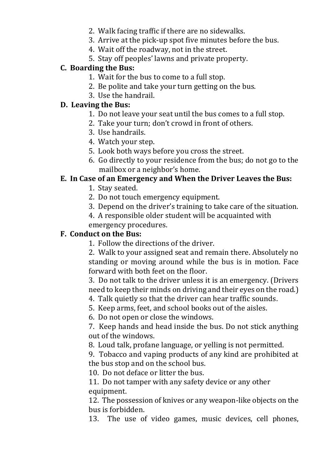- 2. Walk facing traffic if there are no sidewalks.
- 3. Arrive at the pick-up spot five minutes before the bus.
- 4. Wait off the roadway, not in the street.
- 5. Stay off peoples' lawns and private property.

# **C. Boarding the Bus:**

- 1. Wait for the bus to come to a full stop.
- 2. Be polite and take your turn getting on the bus.
- 3. Use the handrail.

# **D. Leaving the Bus:**

- 1. Do not leave your seat until the bus comes to a full stop.
- 2. Take your turn; don't crowd in front of others.
- 3. Use handrails.
- 4. Watch your step.
- 5. Look both ways before you cross the street.
- 6. Go directly to your residence from the bus; do not go to the mailbox or a neighbor's home.

# **E. In Case of an Emergency and When the Driver Leaves the Bus:**

- 1. Stay seated.
- 2. Do not touch emergency equipment.
- 3. Depend on the driver's training to take care of the situation.
- 4. A responsible older student will be acquainted with
- emergency procedures.

# **F. Conduct on the Bus:**

1. Follow the directions of the driver.

2. Walk to your assigned seat and remain there. Absolutely no standing or moving around while the bus is in motion. Face forward with both feet on the floor.

3. Do not talk to the driver unless it is an emergency. (Drivers need to keep their minds on driving and their eyes on the road.)

- 4. Talk quietly so that the driver can hear traffic sounds.
- 5. Keep arms, feet, and school books out of the aisles.
- 6. Do not open or close the windows.

7. Keep hands and head inside the bus. Do not stick anything out of the windows.

8. Loud talk, profane language, or yelling is not permitted.

9. Tobacco and vaping products of any kind are prohibited at the bus stop and on the school bus.

10. Do not deface or litter the bus.

11. Do not tamper with any safety device or any other equipment.

12. The possession of knives or any weapon-like objects on the bus is forbidden.

13. The use of video games, music devices, cell phones,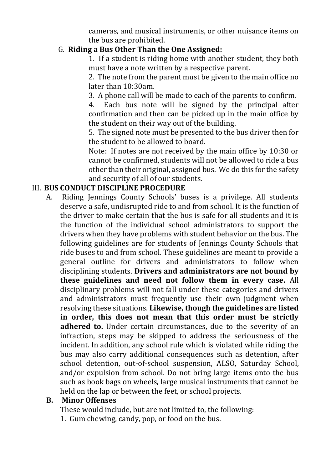cameras, and musical instruments, or other nuisance items on the bus are prohibited.

# G. **Riding a Bus Other Than the One Assigned:**

1. If a student is riding home with another student, they both must have a note written by a respective parent.

2. The note from the parent must be given to the main office no later than 10:30am.

3. A phone call will be made to each of the parents to confirm.

4. Each bus note will be signed by the principal after confirmation and then can be picked up in the main office by the student on their way out of the building.

5. The signed note must be presented to the bus driver then for the student to be allowed to board.

Note: If notes are not received by the main office by 10:30 or cannot be confirmed, students will not be allowed to ride a bus other than their original, assigned bus. We do this for the safety and security of all of our students.

# III. **BUS CONDUCT DISCIPLINE PROCEDURE**

A. Riding Jennings County Schools' buses is a privilege. All students deserve a safe, undisrupted ride to and from school. It is the function of the driver to make certain that the bus is safe for all students and it is the function of the individual school administrators to support the drivers when they have problems with student behavior on the bus. The following guidelines are for students of Jennings County Schools that ride buses to and from school. These guidelines are meant to provide a general outline for drivers and administrators to follow when disciplining students. **Drivers and administrators are not bound by these guidelines and need not follow them in every case.** All disciplinary problems will not fall under these categories and drivers and administrators must frequently use their own judgment when resolving these situations. **Likewise, though the guidelines are listed in order, this does not mean that this order must be strictly adhered to.** Under certain circumstances, due to the severity of an infraction, steps may be skipped to address the seriousness of the incident. In addition, any school rule which is violated while riding the bus may also carry additional consequences such as detention, after school detention, out-of-school suspension, ALSO, Saturday School, and/or expulsion from school. Do not bring large items onto the bus such as book bags on wheels, large musical instruments that cannot be held on the lap or between the feet, or school projects.

# **B. Minor Offenses**

These would include, but are not limited to, the following: 1. Gum chewing, candy, pop, or food on the bus.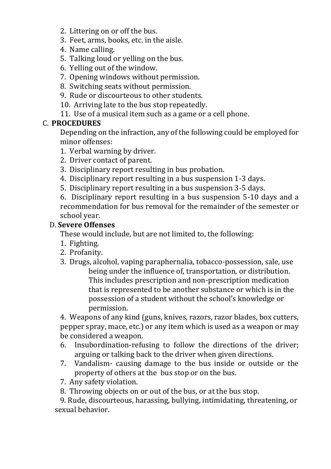- 2. Littering on or off the bus.
- 3. Feet, arms, books, etc. in the aisle.
- 4. Name calling.
- 5. Talking loud or yelling on the bus.
- 6. Yelling out of the window.
- 7. Opening windows without permission.
- 8. Switching seats without permission.
- 9. Rude or discourteous to other students.
- 10. Arriving late to the bus stop repeatedly.
- 11. Use of a musical item such as a game or a cell phone.

# C. **PROCEDURES**

Depending on the infraction, any of the following could be employed for minor offenses:

- 1. Verbal warning by driver.
- 2. Driver contact of parent.
- 3. Disciplinary report resulting in bus probation.
- 4. Disciplinary report resulting in a bus suspension 1-3 days.
- 5. Disciplinary report resulting in a bus suspension 3-5 days.

6. Disciplinary report resulting in a bus suspension 5-10 days and a recommendation for bus removal for the remainder of the semester or school year.

# D. **Severe Offenses**

These would include, but are not limited to, the following:

- 1. Fighting.
- 2. Profanity.
- 3. Drugs, alcohol, vaping paraphernalia, tobacco-possession, sale, use being under the influence of, transportation, or distribution. This includes prescription and non-prescription medication that is represented to be another substance or which is in the possession of a student without the school's knowledge or permission.

4. Weapons of any kind (guns, knives, razors, razor blades, box cutters, pepper spray, mace, etc.) or any item which is used as a weapon or may be considered a weapon.

- 6. Insubordination-refusing to follow the directions of the driver; arguing or talking back to the driver when given directions.
- 7. Vandalism- causing damage to the bus inside or outside or the property of others at the bus stop or on the bus.
- 7. Any safety violation.
- 8. Throwing objects on or out of the bus, or at the bus stop.

 9. Rude, discourteous, harassing, bullying, intimidating, threatening, or sexual behavior.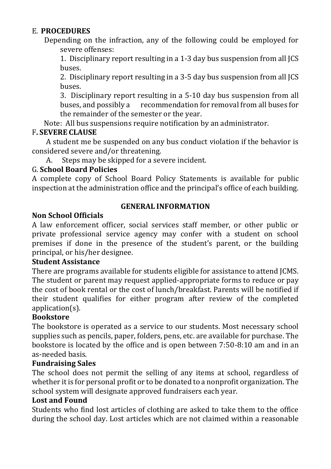# E. **PROCEDURES**

Depending on the infraction, any of the following could be employed for severe offenses:

1. Disciplinary report resulting in a 1-3 day bus suspension from all JCS buses.

2. Disciplinary report resulting in a 3-5 day bus suspension from all JCS buses.

3. Disciplinary report resulting in a 5-10 day bus suspension from all buses, and possibly a recommendation for removal from all buses for the remainder of the semester or the year.

Note: All bus suspensions require notification by an administrator.

### F**. SEVERE CLAUSE**

A student me be suspended on any bus conduct violation if the behavior is considered severe and/or threatening.

A. Steps may be skipped for a severe incident.

### G. **School Board Policies**

A complete copy of School Board Policy Statements is available for public inspection at the administration office and the principal's office of each building.

### **Non School Officials**

# **GENERAL INFORMATION**

A law enforcement officer, social services staff member, or other public or private professional service agency may confer with a student on school premises if done in the presence of the student's parent, or the building principal, or his/her designee.

### **Student Assistance**

There are programs available for students eligible for assistance to attend JCMS. The student or parent may request applied-appropriate forms to reduce or pay the cost of book rental or the cost of lunch/breakfast. Parents will be notified if their student qualifies for either program after review of the completed application(s).

### **Bookstore**

The bookstore is operated as a service to our students. Most necessary school supplies such as pencils, paper, folders, pens, etc. are available for purchase. The bookstore is located by the office and is open between 7:50-8:10 am and in an as-needed basis.

### **Fundraising Sales**

The school does not permit the selling of any items at school, regardless of whether it is for personal profit or to be donated to a nonprofit organization. The school system will designate approved fundraisers each year.

### **Lost and Found**

Students who find lost articles of clothing are asked to take them to the office during the school day. Lost articles which are not claimed within a reasonable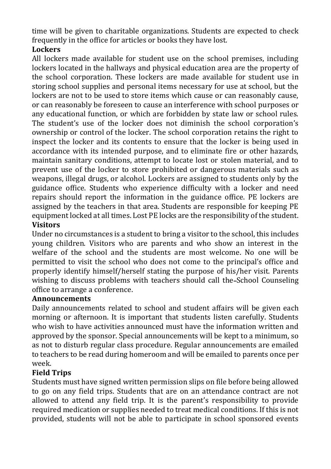time will be given to charitable organizations. Students are expected to check frequently in the office for articles or books they have lost.

# **Lockers**

All lockers made available for student use on the school premises, including lockers located in the hallways and physical education area are the property of the school corporation. These lockers are made available for student use in storing school supplies and personal items necessary for use at school, but the lockers are not to be used to store items which cause or can reasonably cause, or can reasonably be foreseen to cause an interference with school purposes or any educational function, or which are forbidden by state law or school rules. The student's use of the locker does not diminish the school corporation's ownership or control of the locker. The school corporation retains the right to inspect the locker and its contents to ensure that the locker is being used in accordance with its intended purpose, and to eliminate fire or other hazards, maintain sanitary conditions, attempt to locate lost or stolen material, and to prevent use of the locker to store prohibited or dangerous materials such as weapons, illegal drugs, or alcohol. Lockers are assigned to students only by the guidance office. Students who experience difficulty with a locker and need repairs should report the information in the guidance office. PE lockers are assigned by the teachers in that area. Students are responsible for keeping PE equipment locked at all times. Lost PE locks are the responsibility of the student. **Visitors**

Under no circumstances is a student to bring a visitor to the school, this includes young children. Visitors who are parents and who show an interest in the welfare of the school and the students are most welcome. No one will be permitted to visit the school who does not come to the principal's office and properly identify himself/herself stating the purpose of his/her visit. Parents wishing to discuss problems with teachers should call the-School Counseling office to arrange a conference.

# **Announcements**

Daily announcements related to school and student affairs will be given each morning or afternoon. It is important that students listen carefully. Students who wish to have activities announced must have the information written and approved by the sponsor. Special announcements will be kept to a minimum, so as not to disturb regular class procedure. Regular announcements are emailed to teachers to be read during homeroom and will be emailed to parents once per week.

# **Field Trips**

Students must have signed written permission slips on file before being allowed to go on any field trips. Students that are on an attendance contract are not allowed to attend any field trip. It is the parent's responsibility to provide required medication or supplies needed to treat medical conditions. If this is not provided, students will not be able to participate in school sponsored events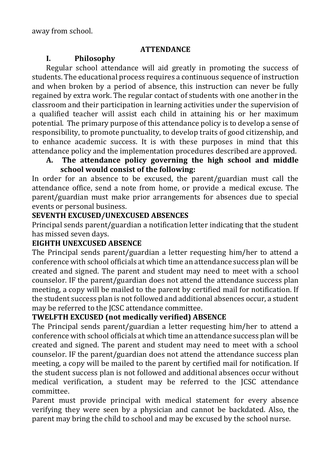### **ATTENDANCE**

# **I. Philosophy**

Regular school attendance will aid greatly in promoting the success of students. The educational process requires a continuous sequence of instruction and when broken by a period of absence, this instruction can never be fully regained by extra work. The regular contact of students with one another in the classroom and their participation in learning activities under the supervision of a qualified teacher will assist each child in attaining his or her maximum potential. The primary purpose of this attendance policy is to develop a sense of responsibility, to promote punctuality, to develop traits of good citizenship, and to enhance academic success. It is with these purposes in mind that this attendance policy and the implementation procedures described are approved.

# **A. The attendance policy governing the high school and middle school would consist of the following:**

In order for an absence to be excused, the parent/guardian must call the attendance office, send a note from home, or provide a medical excuse. The parent/guardian must make prior arrangements for absences due to special events or personal business.

# **SEVENTH EXCUSED/UNEXCUSED ABSENCES**

Principal sends parent/guardian a notification letter indicating that the student has missed seven days.

# **EIGHTH UNEXCUSED ABSENCE**

The Principal sends parent/guardian a letter requesting him/her to attend a conference with school officials at which time an attendance success plan will be created and signed. The parent and student may need to meet with a school counselor. IF the parent/guardian does not attend the attendance success plan meeting, a copy will be mailed to the parent by certified mail for notification. If the student success plan is not followed and additional absences occur, a student may be referred to the JCSC attendance committee.

# **TWELFTH EXCUSED (not medically verified) ABSENCE**

The Principal sends parent/guardian a letter requesting him/her to attend a conference with school officials at which time an attendance success plan will be created and signed. The parent and student may need to meet with a school counselor. IF the parent/guardian does not attend the attendance success plan meeting, a copy will be mailed to the parent by certified mail for notification. If the student success plan is not followed and additional absences occur without medical verification, a student may be referred to the JCSC attendance committee.

Parent must provide principal with medical statement for every absence verifying they were seen by a physician and cannot be backdated. Also, the parent may bring the child to school and may be excused by the school nurse.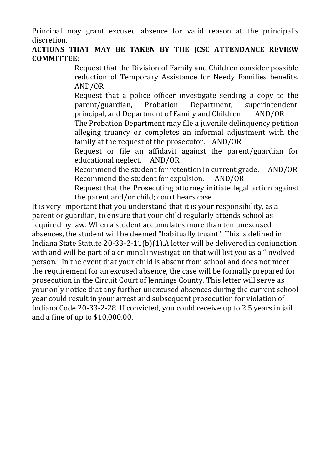Principal may grant excused absence for valid reason at the principal's discretion.

# **ACTIONS THAT MAY BE TAKEN BY THE JCSC ATTENDANCE REVIEW COMMITTEE:**

Request that the Division of Family and Children consider possible reduction of Temporary Assistance for Needy Families benefits. AND/OR

Request that a police officer investigate sending a copy to the parent/guardian, Probation Department, superintendent, principal, and Department of Family and Children. AND/OR

The Probation Department may file a juvenile delinquency petition alleging truancy or completes an informal adjustment with the family at the request of the prosecutor. AND/OR

Request or file an affidavit against the parent/guardian for educational neglect. AND/OR

Recommend the student for retention in current grade. AND/OR Recommend the student for expulsion. AND/OR

Request that the Prosecuting attorney initiate legal action against the parent and/or child; court hears case.

It is very important that you understand that it is your responsibility, as a parent or guardian, to ensure that your child regularly attends school as required by law. When a student accumulates more than ten unexcused absences, the student will be deemed "habitually truant". This is defined in Indiana State Statute 20-33-2-11(b)(1).A letter will be delivered in conjunction with and will be part of a criminal investigation that will list you as a "involved person." In the event that your child is absent from school and does not meet the requirement for an excused absence, the case will be formally prepared for prosecution in the Circuit Court of Jennings County. This letter will serve as your only notice that any further unexcused absences during the current school year could result in your arrest and subsequent prosecution for violation of Indiana Code 20-33-2-28. If convicted, you could receive up to 2.5 years in jail and a fine of up to \$10,000.00.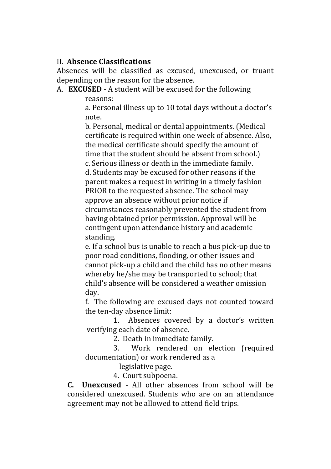### II. **Absence Classifications**

Absences will be classified as excused, unexcused, or truant depending on the reason for the absence.

### A. **EXCUSED** - A student will be excused for the following reasons:

a. Personal illness up to 10 total days without a doctor's note.

b. Personal, medical or dental appointments. (Medical certificate is required within one week of absence. Also, the medical certificate should specify the amount of time that the student should be absent from school.)

c. Serious illness or death in the immediate family. d. Students may be excused for other reasons if the parent makes a request in writing in a timely fashion PRIOR to the requested absence. The school may approve an absence without prior notice if circumstances reasonably prevented the student from having obtained prior permission. Approval will be contingent upon attendance history and academic standing.

e. If a school bus is unable to reach a bus pick-up due to poor road conditions, flooding, or other issues and cannot pick-up a child and the child has no other means whereby he/she may be transported to school; that child's absence will be considered a weather omission day.

f. The following are excused days not counted toward the ten-day absence limit:

1. Absences covered by a doctor's written verifying each date of absence.

2. Death in immediate family.

3. Work rendered on election (required documentation) or work rendered as a

legislative page.

4. Court subpoena.

**C. Unexcused -** All other absences from school will be considered unexcused. Students who are on an attendance agreement may not be allowed to attend field trips.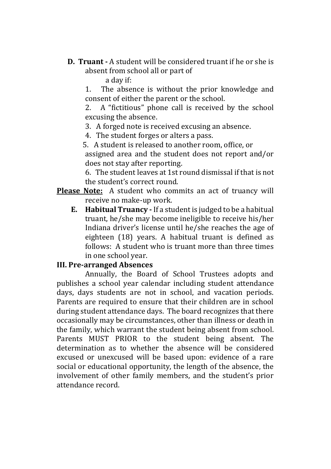**D. Truant -** A student will be considered truant if he or she is absent from school all or part of

a day if:

1. The absence is without the prior knowledge and consent of either the parent or the school.

2. A "fictitious" phone call is received by the school excusing the absence.

3. A forged note is received excusing an absence.

4. The student forges or alters a pass.

5. A student is released to another room, office, or

assigned area and the student does not report and/or does not stay after reporting.

6. The student leaves at 1st round dismissal if that is not the student's correct round.

- **Please Note:** A student who commits an act of truancy will receive no make-up work.
	- **E. Habitual Truancy -** If a student is judged to be a habitual truant, he/she may become ineligible to receive his/her Indiana driver's license until he/she reaches the age of eighteen (18) years. A habitual truant is defined as follows: A student who is truant more than three times in one school year.

### **III. Pre-arranged Absences**

Annually, the Board of School Trustees adopts and publishes a school year calendar including student attendance days, days students are not in school, and vacation periods. Parents are required to ensure that their children are in school during student attendance days. The board recognizes that there occasionally may be circumstances, other than illness or death in the family, which warrant the student being absent from school. Parents MUST PRIOR to the student being absent. The determination as to whether the absence will be considered excused or unexcused will be based upon: evidence of a rare social or educational opportunity, the length of the absence, the involvement of other family members, and the student's prior attendance record.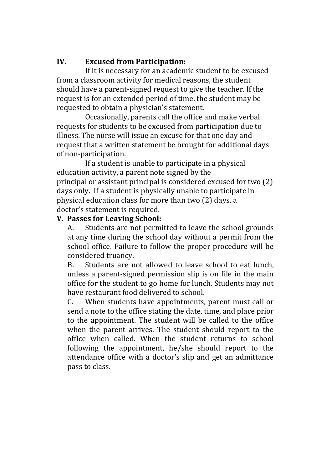### **IV. Excused from Participation:**

If it is necessary for an academic student to be excused from a classroom activity for medical reasons, the student should have a parent-signed request to give the teacher. If the request is for an extended period of time, the student may be requested to obtain a physician's statement.

Occasionally, parents call the office and make verbal requests for students to be excused from participation due to illness. The nurse will issue an excuse for that one day and request that a written statement be brought for additional days of non-participation.

If a student is unable to participate in a physical education activity, a parent note signed by the principal or assistant principal is considered excused for two (2) days only. If a student is physically unable to participate in physical education class for more than two (2) days, a doctor's statement is required.

### **V. Passes for Leaving School:**

A. Students are not permitted to leave the school grounds at any time during the school day without a permit from the school office. Failure to follow the proper procedure will be considered truancy.

B. Students are not allowed to leave school to eat lunch, unless a parent-signed permission slip is on file in the main office for the student to go home for lunch. Students may not have restaurant food delivered to school.

C. When students have appointments, parent must call or send a note to the office stating the date, time, and place prior to the appointment. The student will be called to the office when the parent arrives. The student should report to the office when called. When the student returns to school following the appointment, he/she should report to the attendance office with a doctor's slip and get an admittance pass to class.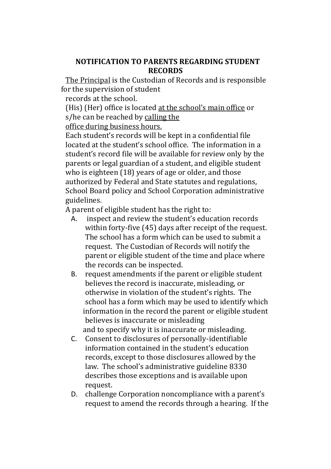#### **NOTIFICATION TO PARENTS REGARDING STUDENT RECORDS**

The Principal is the Custodian of Records and is responsible for the supervision of student

records at the school.

(His) (Her) office is located at the school's main office or s/he can be reached by calling the

office during business hours.

Each student's records will be kept in a confidential file located at the student's school office. The information in a student's record file will be available for review only by the parents or legal guardian of a student, and eligible student who is eighteen (18) years of age or older, and those authorized by Federal and State statutes and regulations, School Board policy and School Corporation administrative guidelines.

A parent of eligible student has the right to:

- A. inspect and review the student's education records within forty-five (45) days after receipt of the request. The school has a form which can be used to submit a request. The Custodian of Records will notify the parent or eligible student of the time and place where the records can be inspected.
- B. request amendments if the parent or eligible student believes the record is inaccurate, misleading, or otherwise in violation of the student's rights. The school has a form which may be used to identify which information in the record the parent or eligible student believes is inaccurate or misleading and to specify why it is inaccurate or misleading.
- C. Consent to disclosures of personally-identifiable information contained in the student's education records, except to those disclosures allowed by the law. The school's administrative guideline 8330 describes those exceptions and is available upon request.
- D. challenge Corporation noncompliance with a parent's request to amend the records through a hearing. If the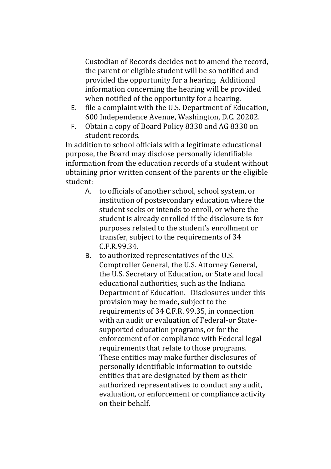Custodian of Records decides not to amend the record, the parent or eligible student will be so notified and provided the opportunity for a hearing. Additional information concerning the hearing will be provided when notified of the opportunity for a hearing.

- E. file a complaint with the U.S. Department of Education, 600 Independence Avenue, Washington, D.C. 20202.
- F. Obtain a copy of Board Policy 8330 and AG 8330 on student records.

In addition to school officials with a legitimate educational purpose, the Board may disclose personally identifiable information from the education records of a student without obtaining prior written consent of the parents or the eligible student:

- A. to officials of another school, school system, or institution of postsecondary education where the student seeks or intends to enroll, or where the student is already enrolled if the disclosure is for purposes related to the student's enrollment or transfer, subject to the requirements of 34 C.F.R.99.34.
- B. to authorized representatives of the U.S. Comptroller General, the U.S. Attorney General, the U.S. Secretary of Education, or State and local educational authorities, such as the Indiana Department of Education. Disclosures under this provision may be made, subject to the requirements of 34 C.F.R. 99.35, in connection with an audit or evaluation of Federal-or Statesupported education programs, or for the enforcement of or compliance with Federal legal requirements that relate to those programs. These entities may make further disclosures of personally identifiable information to outside entities that are designated by them as their authorized representatives to conduct any audit, evaluation, or enforcement or compliance activity on their behalf.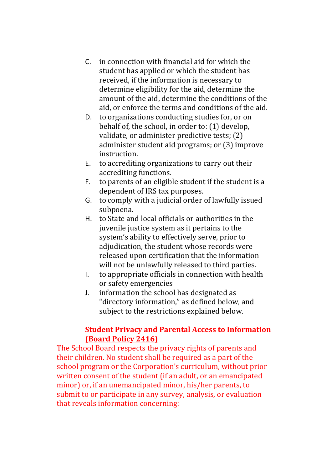- C. in connection with financial aid for which the student has applied or which the student has received, if the information is necessary to determine eligibility for the aid, determine the amount of the aid, determine the conditions of the aid, or enforce the terms and conditions of the aid.
- D. to organizations conducting studies for, or on behalf of, the school, in order to: (1) develop, validate, or administer predictive tests; (2) administer student aid programs; or (3) improve instruction.
- E. to accrediting organizations to carry out their accrediting functions.
- F. to parents of an eligible student if the student is a dependent of IRS tax purposes.
- G. to comply with a judicial order of lawfully issued subpoena.
- H. to State and local officials or authorities in the juvenile justice system as it pertains to the system's ability to effectively serve, prior to adjudication, the student whose records were released upon certification that the information will not be unlawfully released to third parties.
- I. to appropriate officials in connection with health or safety emergencies
- J. information the school has designated as "directory information," as defined below, and subject to the restrictions explained below.

# **Student Privacy and Parental Access to Information (Board Policy 2416)**

The School Board respects the privacy rights of parents and their children. No student shall be required as a part of the school program or the Corporation's curriculum, without prior written consent of the student (if an adult, or an emancipated minor) or, if an unemancipated minor, his/her parents, to submit to or participate in any survey, analysis, or evaluation that reveals information concerning: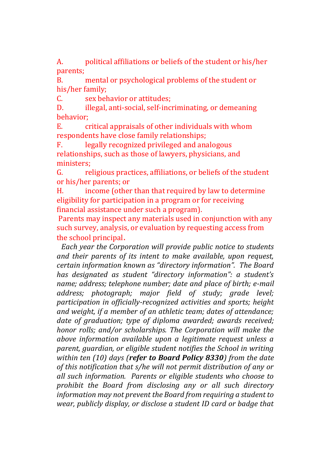A. political affiliations or beliefs of the student or his/her parents;

B. mental or psychological problems of the student or his/her family;

C. sex behavior or attitudes;

D. illegal, anti-social, self-incriminating, or demeaning behavior;

E. critical appraisals of other individuals with whom respondents have close family relationships;

F. legally recognized privileged and analogous relationships, such as those of lawyers, physicians, and ministers;

G. religious practices, affiliations, or beliefs of the student or his/her parents; or

H. income (other than that required by law to determine eligibility for participation in a program or for receiving financial assistance under such a program).

Parents may inspect any materials used in conjunction with any such survey, analysis, or evaluation by requesting access from the school principal.

*Each year the Corporation will provide public notice to students and their parents of its intent to make available, upon request, certain information known as "directory information". The Board has designated as student "directory information": a student's name; address; telephone number; date and place of birth; e-mail address; photograph; major field of study; grade level; participation in officially-recognized activities and sports; height and weight, if a member of an athletic team; dates of attendance; date of graduation; type of diploma awarded; awards received; honor rolls; and/or scholarships. The Corporation will make the above information available upon a legitimate request unless a parent, guardian, or eligible student notifies the School in writing within ten (10) days (refer to Board Policy 8330) from the date of this notification that s/he will not permit distribution of any or all such information. Parents or eligible students who choose to prohibit the Board from disclosing any or all such directory information may not prevent the Board from requiring a student to wear, publicly display, or disclose a student ID card or badge that*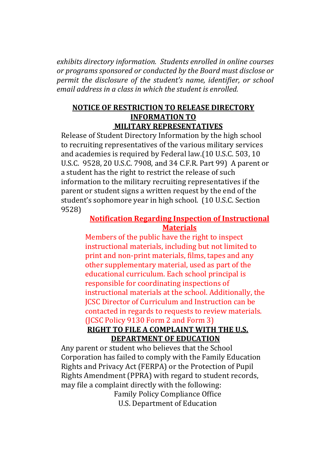*exhibits directory information. Students enrolled in online courses or programs sponsored or conducted by the Board must disclose or permit the disclosure of the student's name, identifier, or school email address in a class in which the student is enrolled.*

#### **NOTICE OF RESTRICTION TO RELEASE DIRECTORY INFORMATION TO MILITARY REPRESENTATIVES**

Release of Student Directory Information by the high school to recruiting representatives of the various military services and academies is required by Federal law.(10 U.S.C. 503, 10 U.S.C. 9528, 20 U.S.C. 7908, and 34 C.F.R. Part 99) A parent or a student has the right to restrict the release of such information to the military recruiting representatives if the parent or student signs a written request by the end of the student's sophomore year in high school. (10 U.S.C. Section 9528)

#### **Notification Regarding Inspection of Instructional Materials**

Members of the public have the right to inspect instructional materials, including but not limited to print and non-print materials, films, tapes and any other supplementary material, used as part of the educational curriculum. Each school principal is responsible for coordinating inspections of instructional materials at the school. Additionally, the JCSC Director of Curriculum and Instruction can be contacted in regards to requests to review materials. (JCSC Policy 9130 Form 2 and Form 3)

### **RIGHT TO FILE A COMPLAINT WITH THE U.S. DEPARTMENT OF EDUCATION**

Any parent or student who believes that the School Corporation has failed to comply with the Family Education Rights and Privacy Act (FERPA) or the Protection of Pupil Rights Amendment (PPRA) with regard to student records, may file a complaint directly with the following:

Family Policy Compliance Office U.S. Department of Education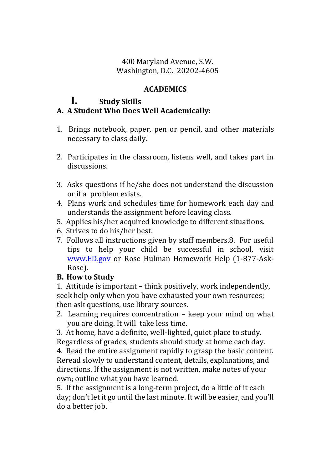### 400 Maryland Avenue, S.W. Washington, D.C. 20202-4605

### **ACADEMICS**

# **I. Study Skills**

# **A. A Student Who Does Well Academically:**

- 1. Brings notebook, paper, pen or pencil, and other materials necessary to class daily.
- 2. Participates in the classroom, listens well, and takes part in discussions.
- 3. Asks questions if he/she does not understand the discussion or if a problem exists.
- 4. Plans work and schedules time for homework each day and understands the assignment before leaving class.
- 5. Applies his/her acquired knowledge to different situations.
- 6. Strives to do his/her best.
- 7. Follows all instructions given by staff members.8. For useful tips to help your child be successful in school, visit [www.ED.gov](http://www.ed.gov/) or Rose Hulman Homework Help (1-877-Ask-Rose).

### **B. How to Study**

1. Attitude is important – think positively, work independently, seek help only when you have exhausted your own resources; then ask questions, use library sources.

- 2. Learning requires concentration keep your mind on what you are doing. It will take less time.
- 3. At home, have a definite, well-lighted, quiet place to study.

Regardless of grades, students should study at home each day.

4. Read the entire assignment rapidly to grasp the basic content. Reread slowly to understand content, details, explanations, and directions. If the assignment is not written, make notes of your own; outline what you have learned.

5. If the assignment is a long-term project, do a little of it each day; don't let it go until the last minute. It will be easier, and you'll do a better job.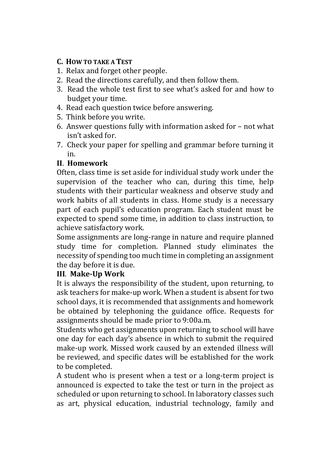# **C. HOW TO TAKE A TEST**

- 1. Relax and forget other people.
- 2. Read the directions carefully, and then follow them.
- 3. Read the whole test first to see what's asked for and how to budget your time.
- 4. Read each question twice before answering.
- 5. Think before you write.
- 6. Answer questions fully with information asked for not what isn't asked for.
- 7. Check your paper for spelling and grammar before turning it in.

# **II**. **Homework**

Often, class time is set aside for individual study work under the supervision of the teacher who can, during this time, help students with their particular weakness and observe study and work habits of all students in class. Home study is a necessary part of each pupil's education program. Each student must be expected to spend some time, in addition to class instruction, to achieve satisfactory work.

Some assignments are long-range in nature and require planned study time for completion. Planned study eliminates the necessity of spending too much time in completing an assignment the day before it is due.

# **III**. **Make-Up Work**

It is always the responsibility of the student, upon returning, to ask teachers for make-up work. When a student is absent for two school days, it is recommended that assignments and homework be obtained by telephoning the guidance office. Requests for assignments should be made prior to 9:00a.m.

Students who get assignments upon returning to school will have one day for each day's absence in which to submit the required make-up work. Missed work caused by an extended illness will be reviewed, and specific dates will be established for the work to be completed.

A student who is present when a test or a long-term project is announced is expected to take the test or turn in the project as scheduled or upon returning to school. In laboratory classes such as art, physical education, industrial technology, family and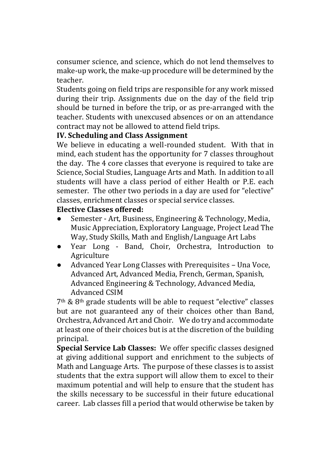consumer science, and science, which do not lend themselves to make-up work, the make-up procedure will be determined by the teacher.

Students going on field trips are responsible for any work missed during their trip. Assignments due on the day of the field trip should be turned in before the trip, or as pre-arranged with the teacher. Students with unexcused absences or on an attendance contract may not be allowed to attend field trips.

### **IV. Scheduling and Class Assignment**

We believe in educating a well-rounded student. With that in mind, each student has the opportunity for 7 classes throughout the day. The 4 core classes that everyone is required to take are Science, Social Studies, Language Arts and Math. In addition to all students will have a class period of either Health or P.E. each semester. The other two periods in a day are used for "elective" classes, enrichment classes or special service classes.

### **Elective Classes offered:**

- Semester Art, Business, Engineering & Technology, Media, Music Appreciation, Exploratory Language, Project Lead The Way, Study Skills, Math and English/Language Art Labs
- Year Long Band, Choir, Orchestra, Introduction to Agriculture
- Advanced Year Long Classes with Prerequisites Una Voce, Advanced Art, Advanced Media, French, German, Spanish, Advanced Engineering & Technology, Advanced Media, Advanced CSIM

7th & 8th grade students will be able to request "elective" classes but are not guaranteed any of their choices other than Band, Orchestra, Advanced Art and Choir. We do try and accommodate at least one of their choices but is at the discretion of the building principal.

**Special Service Lab Classes:** We offer specific classes designed at giving additional support and enrichment to the subjects of Math and Language Arts. The purpose of these classes is to assist students that the extra support will allow them to excel to their maximum potential and will help to ensure that the student has the skills necessary to be successful in their future educational career. Lab classes fill a period that would otherwise be taken by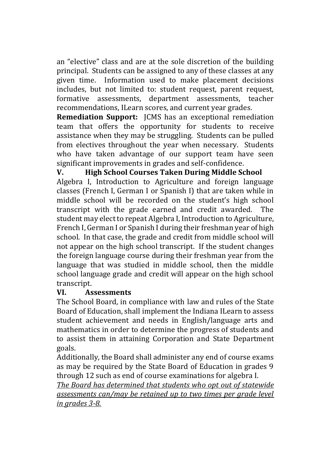an "elective" class and are at the sole discretion of the building principal. Students can be assigned to any of these classes at any given time. Information used to make placement decisions includes, but not limited to: student request, parent request, formative assessments, department assessments, teacher recommendations, ILearn scores, and current year grades.

**Remediation Support:** JCMS has an exceptional remediation team that offers the opportunity for students to receive assistance when they may be struggling. Students can be pulled from electives throughout the year when necessary. Students who have taken advantage of our support team have seen significant improvements in grades and self-confidence.

# **V. High School Courses Taken During Middle School**

Algebra I, Introduction to Agriculture and foreign language classes (French I, German I or Spanish I) that are taken while in middle school will be recorded on the student's high school transcript with the grade earned and credit awarded. The student may elect to repeat Algebra I, Introduction to Agriculture, French I, German I or Spanish I during their freshman year of high school. In that case, the grade and credit from middle school will not appear on the high school transcript. If the student changes the foreign language course during their freshman year from the language that was studied in middle school, then the middle school language grade and credit will appear on the high school transcript.

#### **VI. Assessments**

The School Board, in compliance with law and rules of the State Board of Education, shall implement the Indiana ILearn to assess student achievement and needs in English/language arts and mathematics in order to determine the progress of students and to assist them in attaining Corporation and State Department goals.

Additionally, the Board shall administer any end of course exams as may be required by the State Board of Education in grades 9 through 12 such as end of course examinations for algebra I.

*The Board has determined that students who opt out of statewide assessments can/may be retained up to two times per grade level in grades 3-8.*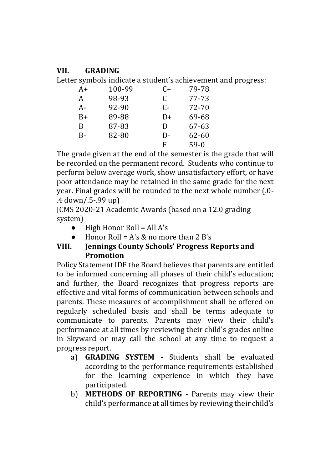### **VII. GRADING**

Letter symbols indicate a student's achievement and progress:

| A+        | 100-99 | C+ | 79-78     |
|-----------|--------|----|-----------|
| A         | 98-93  | C  | 77-73     |
| A-        | 92-90  | C- | 72-70     |
| B+        | 89-88  | D+ | 69-68     |
| B         | 87-83  | D  | 67-63     |
| <b>B-</b> | 82-80  | D- | $62 - 60$ |
|           |        | F  | $59-0$    |

The grade given at the end of the semester is the grade that will be recorded on the permanent record. Students who continue to perform below average work, show unsatisfactory effort, or have poor attendance may be retained in the same grade for the next year. Final grades will be rounded to the next whole number (.0- .4 down/.5-.99 up)

JCMS 2020-21 Academic Awards (based on a 12.0 grading system)

- $High Honor Roll = All A's$
- Honor Roll =  $A's \& no more than 2 B's$

# **VIII. Jennings County Schools' Progress Reports and Promotion**

Policy Statement IDF the Board believes that parents are entitled to be informed concerning all phases of their child's education; and further, the Board recognizes that progress reports are effective and vital forms of communication between schools and parents. These measures of accomplishment shall be offered on regularly scheduled basis and shall be terms adequate to communicate to parents. Parents may view their child's performance at all times by reviewing their child's grades online in Skyward or may call the school at any time to request a progress report.

- a) **GRADING SYSTEM -** Students shall be evaluated according to the performance requirements established for the learning experience in which they have participated.
- b) **METHODS OF REPORTING -** Parents may view their child's performance at all times by reviewing their child's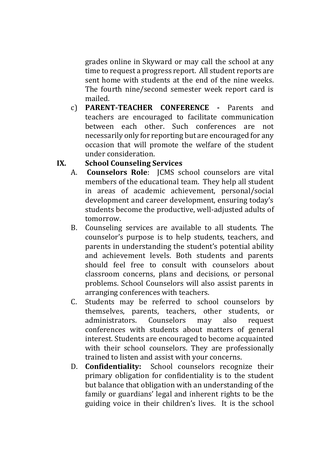grades online in Skyward or may call the school at any time to request a progress report. All student reports are sent home with students at the end of the nine weeks. The fourth nine/second semester week report card is mailed.

c) **PARENT-TEACHER CONFERENCE -** Parents and teachers are encouraged to facilitate communication between each other. Such conferences are not necessarily only for reporting but are encouraged for any occasion that will promote the welfare of the student under consideration.

# **IX. School Counseling Services**

- A. **Counselors Role**: JCMS school counselors are vital members of the educational team. They help all student in areas of academic achievement, personal/social development and career development, ensuring today's students become the productive, well-adjusted adults of tomorrow.
- B. Counseling services are available to all students. The counselor's purpose is to help students, teachers, and parents in understanding the student's potential ability and achievement levels. Both students and parents should feel free to consult with counselors about classroom concerns, plans and decisions, or personal problems. School Counselors will also assist parents in arranging conferences with teachers.
- C. Students may be referred to school counselors by themselves, parents, teachers, other students, or administrators. Counselors may also request conferences with students about matters of general interest. Students are encouraged to become acquainted with their school counselors. They are professionally trained to listen and assist with your concerns.
- D. **Confidentiality:** School counselors recognize their primary obligation for confidentiality is to the student but balance that obligation with an understanding of the family or guardians' legal and inherent rights to be the guiding voice in their children's lives. It is the school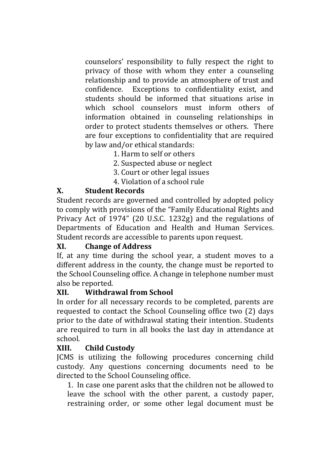counselors' responsibility to fully respect the right to privacy of those with whom they enter a counseling relationship and to provide an atmosphere of trust and confidence. Exceptions to confidentiality exist, and students should be informed that situations arise in which school counselors must inform others of information obtained in counseling relationships in order to protect students themselves or others. There are four exceptions to confidentiality that are required by law and/or ethical standards:

- 1. Harm to self or others
- 2. Suspected abuse or neglect
- 3. Court or other legal issues
- 4. Violation of a school rule

# **X. Student Records**

Student records are governed and controlled by adopted policy to comply with provisions of the "Family Educational Rights and Privacy Act of 1974" (20 U.S.C. 1232g) and the regulations of Departments of Education and Health and Human Services. Student records are accessible to parents upon request.

#### **XI. Change of Address**

If, at any time during the school year, a student moves to a different address in the county, the change must be reported to the School Counseling office. A change in telephone number must also be reported.

#### **XII. Withdrawal from School**

In order for all necessary records to be completed, parents are requested to contact the School Counseling office two (2) days prior to the date of withdrawal stating their intention. Students are required to turn in all books the last day in attendance at school.

### **XIII. Child Custody**

JCMS is utilizing the following procedures concerning child custody. Any questions concerning documents need to be directed to the School Counseling office.

1. In case one parent asks that the children not be allowed to leave the school with the other parent, a custody paper, restraining order, or some other legal document must be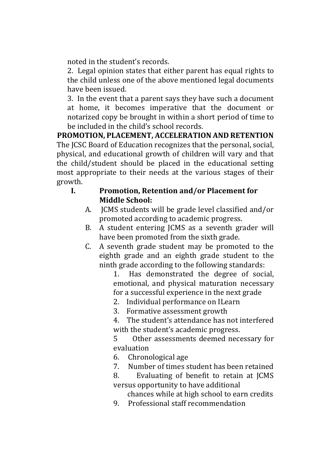noted in the student's records.

2. Legal opinion states that either parent has equal rights to the child unless one of the above mentioned legal documents have been issued.

3. In the event that a parent says they have such a document at home, it becomes imperative that the document or notarized copy be brought in within a short period of time to be included in the child's school records.

**PROMOTION, PLACEMENT, ACCELERATION AND RETENTION** The JCSC Board of Education recognizes that the personal, social, physical, and educational growth of children will vary and that the child/student should be placed in the educational setting most appropriate to their needs at the various stages of their growth.

- **I. Promotion, Retention and/or Placement for Middle School:**
	- A. JCMS students will be grade level classified and/or promoted according to academic progress.
	- B. A student entering JCMS as a seventh grader will have been promoted from the sixth grade.
	- C. A seventh grade student may be promoted to the eighth grade and an eighth grade student to the ninth grade according to the following standards:

1. Has demonstrated the degree of social, emotional, and physical maturation necessary for a successful experience in the next grade

- 2. Individual performance on ILearn
- 3. Formative assessment growth
- 4. The student's attendance has not interfered with the student's academic progress.
- 5 Other assessments deemed necessary for evaluation
- 6. Chronological age
- 7. Number of times student has been retained
- 8. Evaluating of benefit to retain at JCMS versus opportunity to have additional
	- chances while at high school to earn credits
- 9. Professional staff recommendation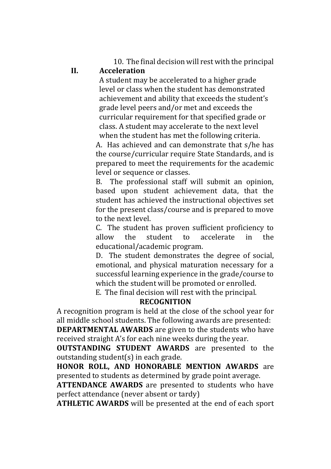10. The final decision will rest with the principal

### **II. Acceleration**

A student may be accelerated to a higher grade level or class when the student has demonstrated achievement and ability that exceeds the student's grade level peers and/or met and exceeds the curricular requirement for that specified grade or class. A student may accelerate to the next level when the student has met the following criteria.

A. Has achieved and can demonstrate that s/he has the course/curricular require State Standards, and is prepared to meet the requirements for the academic level or sequence or classes.

B. The professional staff will submit an opinion, based upon student achievement data, that the student has achieved the instructional objectives set for the present class/course and is prepared to move to the next level.

C. The student has proven sufficient proficiency to allow the student to accelerate in the educational/academic program.

D. The student demonstrates the degree of social, emotional, and physical maturation necessary for a successful learning experience in the grade/course to which the student will be promoted or enrolled.

E. The final decision will rest with the principal.

### **RECOGNITION**

A recognition program is held at the close of the school year for all middle school students. The following awards are presented:

**DEPARTMENTAL AWARDS** are given to the students who have received straight A's for each nine weeks during the year.

**OUTSTANDING STUDENT AWARDS** are presented to the outstanding student(s) in each grade.

**HONOR ROLL, AND HONORABLE MENTION AWARDS** are presented to students as determined by grade point average.

**ATTENDANCE AWARDS** are presented to students who have perfect attendance (never absent or tardy)

**ATHLETIC AWARDS** will be presented at the end of each sport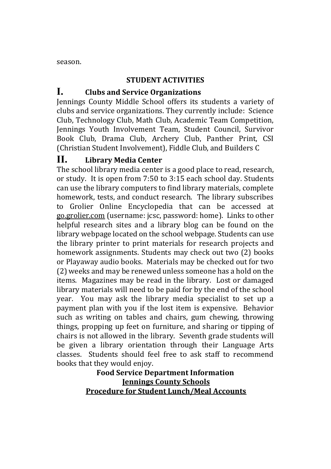season.

#### **STUDENT ACTIVITIES**

# **I. Clubs and Service Organizations**

Jennings County Middle School offers its students a variety of clubs and service organizations. They currently include: Science Club, Technology Club, Math Club, Academic Team Competition, Jennings Youth Involvement Team, Student Council, Survivor Book Club, Drama Club, Archery Club, Panther Print, CSI (Christian Student Involvement), Fiddle Club, and Builders C

### **II. Library Media Center**

The school library media center is a good place to read, research, or study. It is open from 7:50 to 3:15 each school day. Students can use the library computers to find library materials, complete homework, tests, and conduct research. The library subscribes to Grolier Online Encyclopedia that can be accessed at go.grolier.com (username: jcsc, password: home). Links to other helpful research sites and a library blog can be found on the library webpage located on the school webpage. Students can use the library printer to print materials for research projects and homework assignments. Students may check out two (2) books or Playaway audio books. Materials may be checked out for two (2) weeks and may be renewed unless someone has a hold on the items. Magazines may be read in the library. Lost or damaged library materials will need to be paid for by the end of the school year. You may ask the library media specialist to set up a payment plan with you if the lost item is expensive. Behavior such as writing on tables and chairs, gum chewing, throwing things, propping up feet on furniture, and sharing or tipping of chairs is not allowed in the library. Seventh grade students will be given a library orientation through their Language Arts classes. Students should feel free to ask staff to recommend books that they would enjoy.

# **Food Service Department Information Jennings County Schools Procedure for Student Lunch/Meal Accounts**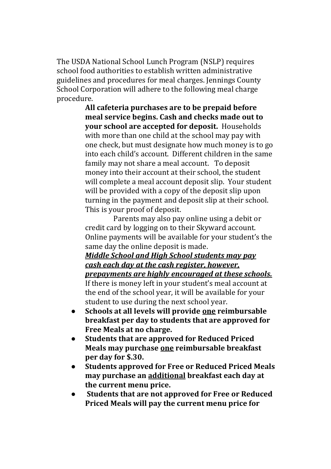The USDA National School Lunch Program (NSLP) requires school food authorities to establish written administrative guidelines and procedures for meal charges. Jennings County School Corporation will adhere to the following meal charge procedure.

> **All cafeteria purchases are to be prepaid before meal service begins. Cash and checks made out to your school are accepted for deposit.** Households with more than one child at the school may pay with one check, but must designate how much money is to go into each child's account. Different children in the same family may not share a meal account. To deposit money into their account at their school, the student will complete a meal account deposit slip. Your student will be provided with a copy of the deposit slip upon turning in the payment and deposit slip at their school. This is your proof of deposit.

> Parents may also pay online using a debit or credit card by logging on to their Skyward account. Online payments will be available for your student's the same day the online deposit is made.

> *Middle School and High School students may pay cash each day at the cash register, however, prepayments are highly encouraged at these schools.* If there is money left in your student's meal account at the end of the school year, it will be available for your student to use during the next school year.

- **Schools at all levels will provide one reimbursable breakfast per day to students that are approved for Free Meals at no charge.**
- **Students that are approved for Reduced Priced Meals may purchase one reimbursable breakfast per day for \$.30.**
- **Students approved for Free or Reduced Priced Meals may purchase an additional breakfast each day at the current menu price.**
- **Students that are not approved for Free or Reduced Priced Meals will pay the current menu price for**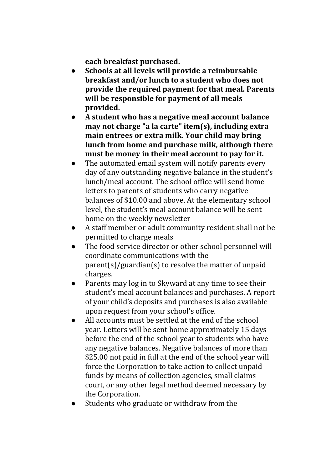**each breakfast purchased.** 

- **Schools at all levels will provide a reimbursable breakfast and/or lunch to a student who does not provide the required payment for that meal. Parents will be responsible for payment of all meals provided.**
- **A student who has a negative meal account balance may not charge "a la carte" item(s), including extra main entrees or extra milk. Your child may bring lunch from home and purchase milk, although there must be money in their meal account to pay for it.**
- The automated email system will notify parents every day of any outstanding negative balance in the student's lunch/meal account. The school office will send home letters to parents of students who carry negative balances of \$10.00 and above. At the elementary school level, the student's meal account balance will be sent home on the weekly newsletter
- A staff member or adult community resident shall not be permitted to charge meals
- The food service director or other school personnel will coordinate communications with the parent(s)/guardian(s) to resolve the matter of unpaid charges.
- Parents may log in to Skyward at any time to see their student's meal account balances and purchases. A report of your child's deposits and purchases is also available upon request from your school's office.
- All accounts must be settled at the end of the school year. Letters will be sent home approximately 15 days before the end of the school year to students who have any negative balances. Negative balances of more than \$25.00 not paid in full at the end of the school year will force the Corporation to take action to collect unpaid funds by means of collection agencies, small claims court, or any other legal method deemed necessary by the Corporation.
- Students who graduate or withdraw from the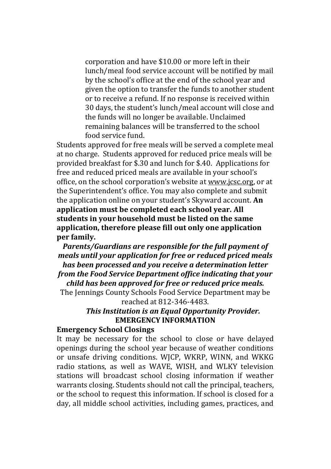corporation and have \$10.00 or more left in their lunch/meal food service account will be notified by mail by the school's office at the end of the school year and given the option to transfer the funds to another student or to receive a refund. If no response is received within 30 days, the student's lunch/meal account will close and the funds will no longer be available. Unclaimed remaining balances will be transferred to the school food service fund.

Students approved for free meals will be served a complete meal at no charge. Students approved for reduced price meals will be provided breakfast for \$.30 and lunch for \$.40.Applications for free and reduced priced meals are available in your school's office, on the school corporation's website at www.jcsc.org, or at the Superintendent's office. You may also complete and submit the application online on your student's Skyward account. **An application must be completed each school year. All students in your household must be listed on the same application, therefore please fill out only one application per family.**

*Parents/Guardians are responsible for the full payment of meals until your application for free or reduced priced meals has been processed and you receive a determination letter from the Food Service Department office indicating that your child has been approved for free or reduced price meals.*

The Jennings County Schools Food Service Department may be reached at 812-346-4483.

> *This Institution is an Equal Opportunity Provider.* **EMERGENCY INFORMATION**

#### **Emergency School Closings**

It may be necessary for the school to close or have delayed openings during the school year because of weather conditions or unsafe driving conditions. WJCP, WKRP, WINN, and WKKG radio stations, as well as WAVE, WISH, and WLKY television stations will broadcast school closing information if weather warrants closing. Students should not call the principal, teachers, or the school to request this information. If school is closed for a day, all middle school activities, including games, practices, and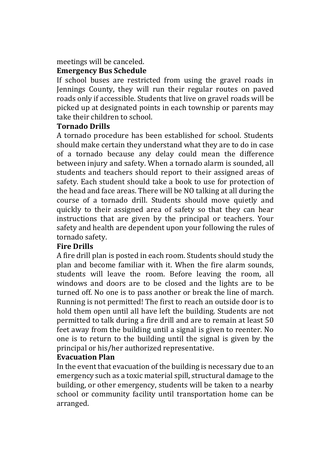#### meetings will be canceled. **Emergency Bus Schedule**

If school buses are restricted from using the gravel roads in Jennings County, they will run their regular routes on paved roads only if accessible. Students that live on gravel roads will be picked up at designated points in each township or parents may take their children to school.

### **Tornado Drills**

A tornado procedure has been established for school. Students should make certain they understand what they are to do in case of a tornado because any delay could mean the difference between injury and safety. When a tornado alarm is sounded, all students and teachers should report to their assigned areas of safety. Each student should take a book to use for protection of the head and face areas. There will be NO talking at all during the course of a tornado drill. Students should move quietly and quickly to their assigned area of safety so that they can hear instructions that are given by the principal or teachers. Your safety and health are dependent upon your following the rules of tornado safety.

### **Fire Drills**

A fire drill plan is posted in each room. Students should study the plan and become familiar with it. When the fire alarm sounds, students will leave the room. Before leaving the room, all windows and doors are to be closed and the lights are to be turned off. No one is to pass another or break the line of march. Running is not permitted! The first to reach an outside door is to hold them open until all have left the building. Students are not permitted to talk during a fire drill and are to remain at least 50 feet away from the building until a signal is given to reenter. No one is to return to the building until the signal is given by the principal or his/her authorized representative.

### **Evacuation Plan**

In the event that evacuation of the building is necessary due to an emergency such as a toxic material spill, structural damage to the building, or other emergency, students will be taken to a nearby school or community facility until transportation home can be arranged.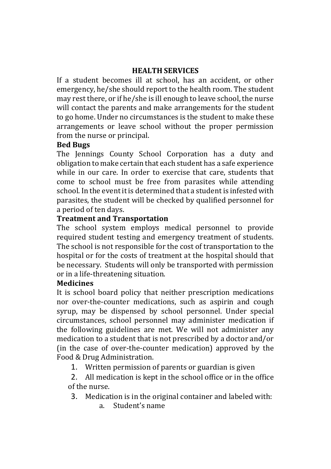### **HEALTH SERVICES**

If a student becomes ill at school, has an accident, or other emergency, he/she should report to the health room. The student may rest there, or if he/she is ill enough to leave school, the nurse will contact the parents and make arrangements for the student to go home. Under no circumstances is the student to make these arrangements or leave school without the proper permission from the nurse or principal.

#### **Bed Bugs**

The Jennings County School Corporation has a duty and obligation to make certain that each student has a safe experience while in our care. In order to exercise that care, students that come to school must be free from parasites while attending school. In the event it is determined that a student is infested with parasites, the student will be checked by qualified personnel for a period of ten days.

### **Treatment and Transportation**

The school system employs medical personnel to provide required student testing and emergency treatment of students. The school is not responsible for the cost of transportation to the hospital or for the costs of treatment at the hospital should that be necessary. Students will only be transported with permission or in a life-threatening situation.

#### **Medicines**

It is school board policy that neither prescription medications nor over-the-counter medications, such as aspirin and cough syrup, may be dispensed by school personnel. Under special circumstances, school personnel may administer medication if the following guidelines are met. We will not administer any medication to a student that is not prescribed by a doctor and/or (in the case of over-the-counter medication) approved by the Food & Drug Administration.

1. Written permission of parents or guardian is given

2. All medication is kept in the school office or in the office of the nurse.

- 3. Medication is in the original container and labeled with:
	- a. Student's name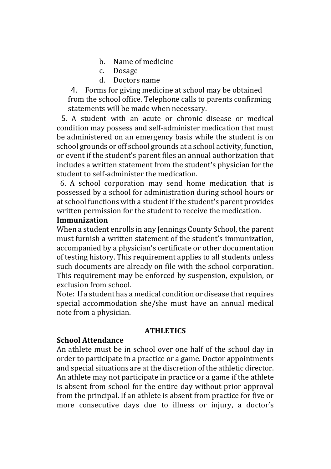- b. Name of medicine
- c. Dosage
- d. Doctors name

4. Forms for giving medicine at school may be obtained from the school office. Telephone calls to parents confirming statements will be made when necessary.

5. A student with an acute or chronic disease or medical condition may possess and self-administer medication that must be administered on an emergency basis while the student is on school grounds or off school grounds at a school activity, function, or event if the student's parent files an annual authorization that includes a written statement from the student's physician for the student to self-administer the medication.

 6. A school corporation may send home medication that is possessed by a school for administration during school hours or at school functions with a student if the student's parent provides written permission for the student to receive the medication.

#### **Immunization**

When a student enrolls in any Jennings County School, the parent must furnish a written statement of the student's immunization, accompanied by a physician's certificate or other documentation of testing history. This requirement applies to all students unless such documents are already on file with the school corporation. This requirement may be enforced by suspension, expulsion, or exclusion from school.

Note: If a student has a medical condition or disease that requires special accommodation she/she must have an annual medical note from a physician.

#### **ATHLETICS**

#### **School Attendance**

An athlete must be in school over one half of the school day in order to participate in a practice or a game. Doctor appointments and special situations are at the discretion of the athletic director. An athlete may not participate in practice or a game if the athlete is absent from school for the entire day without prior approval from the principal. If an athlete is absent from practice for five or more consecutive days due to illness or injury, a doctor's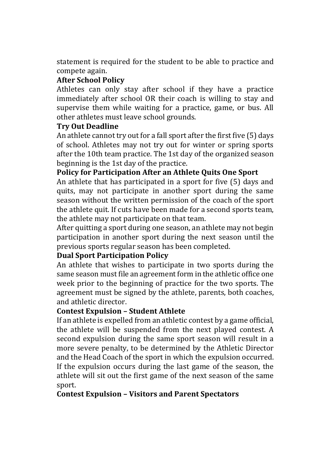statement is required for the student to be able to practice and compete again.

# **After School Policy**

Athletes can only stay after school if they have a practice immediately after school OR their coach is willing to stay and supervise them while waiting for a practice, game, or bus. All other athletes must leave school grounds.

# **Try Out Deadline**

An athlete cannot try out for a fall sport after the first five (5) days of school. Athletes may not try out for winter or spring sports after the 10th team practice. The 1st day of the organized season beginning is the 1st day of the practice.

# **Policy for Participation After an Athlete Quits One Sport**

An athlete that has participated in a sport for five (5) days and quits, may not participate in another sport during the same season without the written permission of the coach of the sport the athlete quit. If cuts have been made for a second sports team, the athlete may not participate on that team.

After quitting a sport during one season, an athlete may not begin participation in another sport during the next season until the previous sports regular season has been completed.

### **Dual Sport Participation Policy**

An athlete that wishes to participate in two sports during the same season must file an agreement form in the athletic office one week prior to the beginning of practice for the two sports. The agreement must be signed by the athlete, parents, both coaches, and athletic director.

### **Contest Expulsion – Student Athlete**

If an athlete is expelled from an athletic contest by a game official, the athlete will be suspended from the next played contest. A second expulsion during the same sport season will result in a more severe penalty, to be determined by the Athletic Director and the Head Coach of the sport in which the expulsion occurred. If the expulsion occurs during the last game of the season, the athlete will sit out the first game of the next season of the same sport.

# **Contest Expulsion – Visitors and Parent Spectators**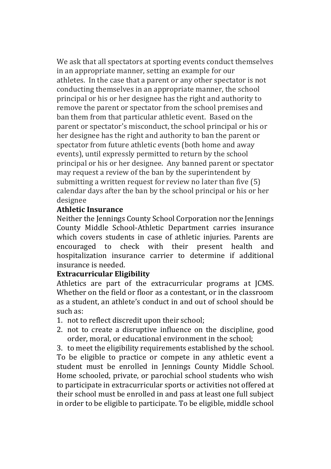We ask that all spectators at sporting events conduct themselves in an appropriate manner, setting an example for our athletes. In the case that a parent or any other spectator is not conducting themselves in an appropriate manner, the school principal or his or her designee has the right and authority to remove the parent or spectator from the school premises and ban them from that particular athletic event. Based on the parent or spectator's misconduct, the school principal or his or her designee has the right and authority to ban the parent or spectator from future athletic events (both home and away events), until expressly permitted to return by the school principal or his or her designee. Any banned parent or spectator may request a review of the ban by the superintendent by submitting a written request for review no later than five (5) calendar days after the ban by the school principal or his or her designee

### **Athletic Insurance**

Neither the Jennings County School Corporation nor the Jennings County Middle School-Athletic Department carries insurance which covers students in case of athletic injuries. Parents are encouraged to check with their present health and hospitalization insurance carrier to determine if additional insurance is needed.

# **Extracurricular Eligibility**

Athletics are part of the extracurricular programs at JCMS. Whether on the field or floor as a contestant, or in the classroom as a student, an athlete's conduct in and out of school should be such as:

- 1. not to reflect discredit upon their school;
- 2. not to create a disruptive influence on the discipline, good order, moral, or educational environment in the school;

3. to meet the eligibility requirements established by the school. To be eligible to practice or compete in any athletic event a student must be enrolled in Jennings County Middle School. Home schooled, private, or parochial school students who wish to participate in extracurricular sports or activities not offered at their school must be enrolled in and pass at least one full subject in order to be eligible to participate. To be eligible, middle school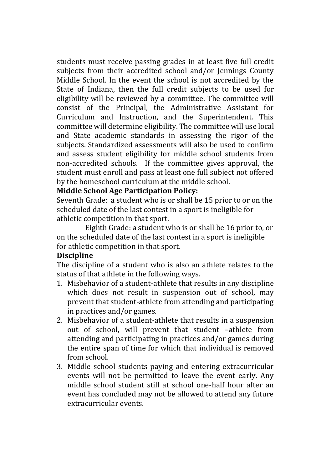students must receive passing grades in at least five full credit subjects from their accredited school and/or Jennings County Middle School. In the event the school is not accredited by the State of Indiana, then the full credit subjects to be used for eligibility will be reviewed by a committee. The committee will consist of the Principal, the Administrative Assistant for Curriculum and Instruction, and the Superintendent. This committee will determine eligibility. The committee will use local and State academic standards in assessing the rigor of the subjects. Standardized assessments will also be used to confirm and assess student eligibility for middle school students from non-accredited schools. If the committee gives approval, the student must enroll and pass at least one full subject not offered by the homeschool curriculum at the middle school.

#### **Middle School Age Participation Policy:**

Seventh Grade: a student who is or shall be 15 prior to or on the scheduled date of the last contest in a sport is ineligible for athletic competition in that sport.

Eighth Grade: a student who is or shall be 16 prior to, or on the scheduled date of the last contest in a sport is ineligible for athletic competition in that sport.

#### **Discipline**

The discipline of a student who is also an athlete relates to the status of that athlete in the following ways.

- 1. Misbehavior of a student-athlete that results in any discipline which does not result in suspension out of school, may prevent that student-athlete from attending and participating in practices and/or games.
- 2. Misbehavior of a student-athlete that results in a suspension out of school, will prevent that student –athlete from attending and participating in practices and/or games during the entire span of time for which that individual is removed from school.
- 3. Middle school students paying and entering extracurricular events will not be permitted to leave the event early. Any middle school student still at school one-half hour after an event has concluded may not be allowed to attend any future extracurricular events.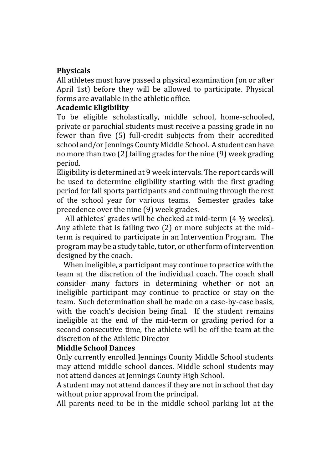# **Physicals**

All athletes must have passed a physical examination (on or after April 1st) before they will be allowed to participate. Physical forms are available in the athletic office.

### **Academic Eligibility**

To be eligible scholastically, middle school, home-schooled, private or parochial students must receive a passing grade in no fewer than five (5) full-credit subjects from their accredited school and/or Jennings County Middle School. A student can have no more than two (2) failing grades for the nine (9) week grading period.

Eligibility is determined at 9 week intervals. The report cards will be used to determine eligibility starting with the first grading period for fall sports participants and continuing through the rest of the school year for various teams. Semester grades take precedence over the nine (9) week grades.

 All athletes' grades will be checked at mid-term (4 ½ weeks). Any athlete that is failing two (2) or more subjects at the midterm is required to participate in an Intervention Program. The program may be a study table, tutor, or other form of intervention designed by the coach.

 When ineligible, a participant may continue to practice with the team at the discretion of the individual coach. The coach shall consider many factors in determining whether or not an ineligible participant may continue to practice or stay on the team. Such determination shall be made on a case-by-case basis, with the coach's decision being final. If the student remains ineligible at the end of the mid-term or grading period for a second consecutive time, the athlete will be off the team at the discretion of the Athletic Director

#### **Middle School Dances**

Only currently enrolled Jennings County Middle School students may attend middle school dances. Middle school students may not attend dances at Jennings County High School.

A student may not attend dances if they are not in school that day without prior approval from the principal.

All parents need to be in the middle school parking lot at the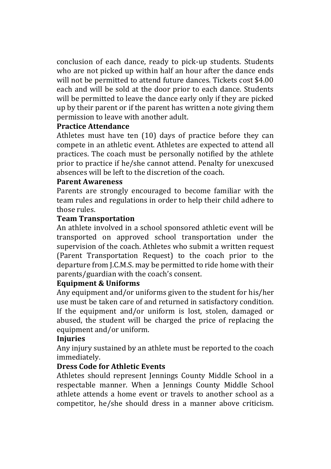conclusion of each dance, ready to pick-up students. Students who are not picked up within half an hour after the dance ends will not be permitted to attend future dances. Tickets cost \$4.00 each and will be sold at the door prior to each dance. Students will be permitted to leave the dance early only if they are picked up by their parent or if the parent has written a note giving them permission to leave with another adult.

#### **Practice Attendance**

Athletes must have ten (10) days of practice before they can compete in an athletic event. Athletes are expected to attend all practices. The coach must be personally notified by the athlete prior to practice if he/she cannot attend. Penalty for unexcused absences will be left to the discretion of the coach.

#### **Parent Awareness**

Parents are strongly encouraged to become familiar with the team rules and regulations in order to help their child adhere to those rules.

#### **Team Transportation**

An athlete involved in a school sponsored athletic event will be transported on approved school transportation under the supervision of the coach. Athletes who submit a written request (Parent Transportation Request) to the coach prior to the departure from J.C.M.S. may be permitted to ride home with their parents/guardian with the coach's consent.

### **Equipment & Uniforms**

Any equipment and/or uniforms given to the student for his/her use must be taken care of and returned in satisfactory condition. If the equipment and/or uniform is lost, stolen, damaged or abused, the student will be charged the price of replacing the equipment and/or uniform.

#### **Injuries**

Any injury sustained by an athlete must be reported to the coach immediately.

### **Dress Code for Athletic Events**

Athletes should represent Jennings County Middle School in a respectable manner. When a Jennings County Middle School athlete attends a home event or travels to another school as a competitor, he/she should dress in a manner above criticism.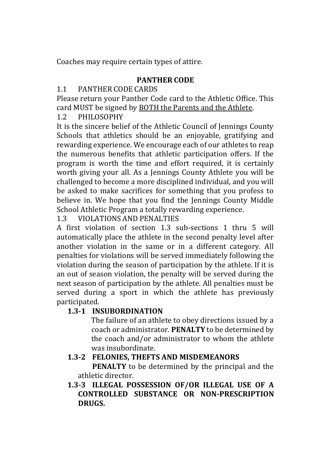Coaches may require certain types of attire.

### **PANTHER CODE**

# 1.1 PANTHER CODE CARDS

Please return your Panther Code card to the Athletic Office. This card MUST be signed by BOTH the Parents and the Athlete.

# 1.2 PHILOSOPHY

It is the sincere belief of the Athletic Council of Jennings County Schools that athletics should be an enjoyable, gratifying and rewarding experience. We encourage each of our athletes to reap the numerous benefits that athletic participation offers. If the program is worth the time and effort required, it is certainly worth giving your all. As a Jennings County Athlete you will be challenged to become a more disciplined individual, and you will be asked to make sacrifices for something that you profess to believe in. We hope that you find the Jennings County Middle School Athletic Program a totally rewarding experience.

1.3 VIOLATIONS AND PENALTIES

A first violation of section 1.3 sub-sections 1 thru 5 will automatically place the athlete in the second penalty level after another violation in the same or in a different category. All penalties for violations will be served immediately following the violation during the season of participation by the athlete. If it is an out of season violation, the penalty will be served during the next season of participation by the athlete. All penalties must be served during a sport in which the athlete has previously participated.

# **1.3-1 INSUBORDINATION**

The failure of an athlete to obey directions issued by a coach or administrator. **PENALTY** to be determined by the coach and/or administrator to whom the athlete was insubordinate.

# **1.3-2 FELONIES, THEFTS AND MISDEMEANORS**

**PENALTY** to be determined by the principal and the athletic director.

**1.3-3 ILLEGAL POSSESSION OF/OR ILLEGAL USE OF A CONTROLLED SUBSTANCE OR NON-PRESCRIPTION DRUGS.**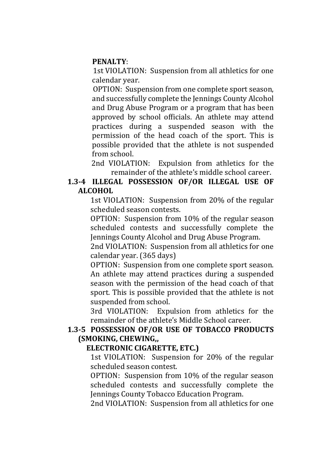#### **PENALTY**:

1st VIOLATION: Suspension from all athletics for one calendar year.

OPTION: Suspension from one complete sport season, and successfully complete the Jennings County Alcohol and Drug Abuse Program or a program that has been approved by school officials. An athlete may attend practices during a suspended season with the permission of the head coach of the sport. This is possible provided that the athlete is not suspended from school.

2nd VIOLATION: Expulsion from athletics for the remainder of the athlete's middle school career.

#### **1.3-4 ILLEGAL POSSESSION OF/OR ILLEGAL USE OF ALCOHOL**

1st VIOLATION: Suspension from 20% of the regular scheduled season contests.

OPTION: Suspension from 10% of the regular season scheduled contests and successfully complete the Jennings County Alcohol and Drug Abuse Program.

2nd VIOLATION: Suspension from all athletics for one calendar year. (365 days)

OPTION: Suspension from one complete sport season. An athlete may attend practices during a suspended season with the permission of the head coach of that sport. This is possible provided that the athlete is not suspended from school.

3rd VIOLATION: Expulsion from athletics for the remainder of the athlete's Middle School career.

#### **1.3-5 POSSESSION OF/OR USE OF TOBACCO PRODUCTS (SMOKING, CHEWING,,**

#### **ELECTRONIC CIGARETTE, ETC.)**

1st VIOLATION: Suspension for 20% of the regular scheduled season contest.

OPTION: Suspension from 10% of the regular season scheduled contests and successfully complete the Jennings County Tobacco Education Program.

2nd VIOLATION: Suspension from all athletics for one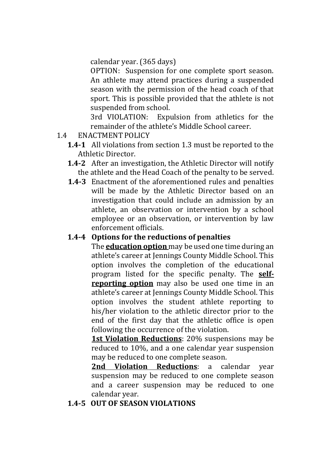calendar year. (365 days)

OPTION: Suspension for one complete sport season. An athlete may attend practices during a suspended season with the permission of the head coach of that sport. This is possible provided that the athlete is not suspended from school.

3rd VIOLATION: Expulsion from athletics for the remainder of the athlete's Middle School career.

- 1.4 ENACTMENT POLICY
	- **1.4-1** All violations from section 1.3 must be reported to the Athletic Director.
	- **1.4-2** After an investigation, the Athletic Director will notify the athlete and the Head Coach of the penalty to be served.
	- **1.4-3** Enactment of the aforementioned rules and penalties will be made by the Athletic Director based on an investigation that could include an admission by an athlete, an observation or intervention by a school employee or an observation, or intervention by law enforcement officials.

# **1.4-4 Options for the reductions of penalties**

The **education option** may be used one time during an athlete's career at Jennings County Middle School. This option involves the completion of the educational program listed for the specific penalty. The **selfreporting option** may also be used one time in an athlete's career at Jennings County Middle School. This option involves the student athlete reporting to his/her violation to the athletic director prior to the end of the first day that the athletic office is open following the occurrence of the violation.

**1st Violation Reductions**: 20% suspensions may be reduced to 10%, and a one calendar year suspension may be reduced to one complete season.

**2nd Violation Reductions**: a calendar year suspension may be reduced to one complete season and a career suspension may be reduced to one calendar year.

### **1.4-5 OUT OF SEASON VIOLATIONS**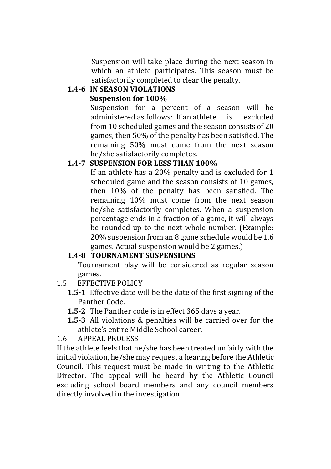Suspension will take place during the next season in which an athlete participates. This season must be satisfactorily completed to clear the penalty.

# **1.4-6 IN SEASON VIOLATIONS**

# **Suspension for 100%**

Suspension for a percent of a season will be administered as follows: If an athlete is excluded from 10 scheduled games and the season consists of 20 games, then 50% of the penalty has been satisfied. The remaining 50% must come from the next season he/she satisfactorily completes.

# **1.4-7 SUSPENSION FOR LESS THAN 100%**

If an athlete has a 20% penalty and is excluded for 1 scheduled game and the season consists of 10 games, then 10% of the penalty has been satisfied. The remaining 10% must come from the next season he/she satisfactorily completes. When a suspension percentage ends in a fraction of a game, it will always be rounded up to the next whole number. (Example: 20% suspension from an 8 game schedule would be 1.6 games. Actual suspension would be 2 games.)

# **1.4-8 TOURNAMENT SUSPENSIONS**

Tournament play will be considered as regular season games.

- 1.5 EFFECTIVE POLICY
	- **1.5-1** Effective date will be the date of the first signing of the Panther Code.
	- **1.5-2** The Panther code is in effect 365 days a year.
	- **1.5-3** All violations & penalties will be carried over for the athlete's entire Middle School career.
- 1.6 APPEAL PROCESS

If the athlete feels that he/she has been treated unfairly with the initial violation, he/she may request a hearing before the Athletic Council. This request must be made in writing to the Athletic Director. The appeal will be heard by the Athletic Council excluding school board members and any council members directly involved in the investigation.